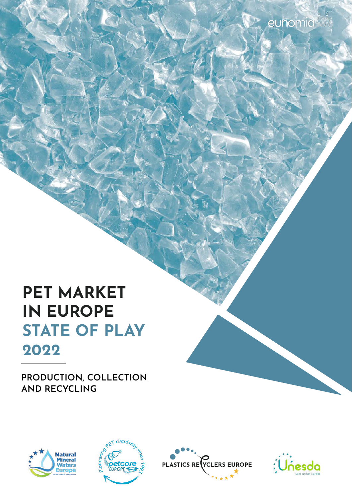## **PET MARKET IN EUROPE STATE OF PLAY 2022**

**PRODUCTION, COLLECTION AND RECYCLING**





**PLASTICS REVELERS EUROPE** 

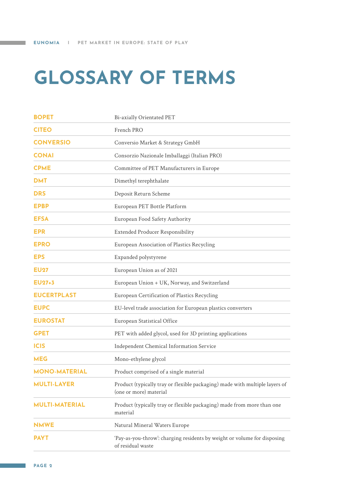# <span id="page-1-0"></span>**GLOSSARY OF TERMS**

| <b>BOPET</b>          | Bi-axially Orientated PET                                                                             |  |  |
|-----------------------|-------------------------------------------------------------------------------------------------------|--|--|
| <b>CITEO</b>          | French PRO                                                                                            |  |  |
| <b>CONVERSIO</b>      | Conversio Market & Strategy GmbH                                                                      |  |  |
| <b>CONAI</b>          | Consorzio Nazionale Imballaggi (Italian PRO)                                                          |  |  |
| <b>CPME</b>           | Committee of PET Manufacturers in Europe                                                              |  |  |
| <b>DMT</b>            | Dimethyl terephthalate                                                                                |  |  |
| <b>DRS</b>            | Deposit Return Scheme                                                                                 |  |  |
| <b>EPBP</b>           | European PET Bottle Platform                                                                          |  |  |
| <b>EFSA</b>           | European Food Safety Authority                                                                        |  |  |
| EPR                   | <b>Extended Producer Responsibility</b>                                                               |  |  |
| <b>EPRO</b>           | European Association of Plastics Recycling                                                            |  |  |
| <b>EPS</b>            | Expanded polystyrene                                                                                  |  |  |
| <b>EU27</b>           | European Union as of 2021                                                                             |  |  |
| <b>EU27+3</b>         | European Union + UK, Norway, and Switzerland                                                          |  |  |
| <b>EUCERTPLAST</b>    | European Certification of Plastics Recycling                                                          |  |  |
| <b>EUPC</b>           | EU-level trade association for European plastics converters                                           |  |  |
| <b>EUROSTAT</b>       | European Statistical Office                                                                           |  |  |
| <b>GPET</b>           | PET with added glycol, used for 3D printing applications                                              |  |  |
| <b>ICIS</b>           | Independent Chemical Information Service                                                              |  |  |
| <b>MEG</b>            | Mono-ethylene glycol                                                                                  |  |  |
| <b>MONO-MATERIAL</b>  | Product comprised of a single material                                                                |  |  |
| <b>MULTI-LAYER</b>    | Product (typically tray or flexible packaging) made with multiple layers of<br>(one or more) material |  |  |
| <b>MULTI-MATERIAL</b> | Product (typically tray or flexible packaging) made from more than one<br>material                    |  |  |
| <b>NMWE</b>           | Natural Mineral Waters Europe                                                                         |  |  |
| <b>PAYT</b>           | 'Pay-as-you-throw': charging residents by weight or volume for disposing<br>of residual waste         |  |  |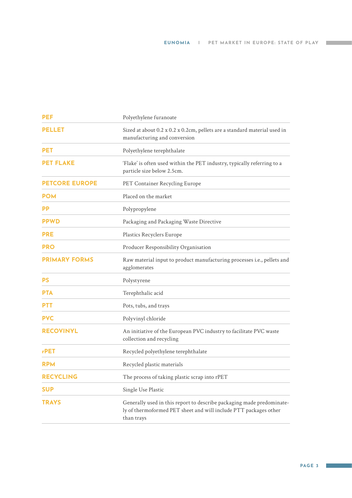| <b>PEF</b>            | Polyethylene furanoate                                                                                                                                  |
|-----------------------|---------------------------------------------------------------------------------------------------------------------------------------------------------|
| <b>PELLET</b>         | Sized at about 0.2 x 0.2 x 0.2cm, pellets are a standard material used in<br>manufacturing and conversion                                               |
| <b>PET</b>            | Polyethylene terephthalate                                                                                                                              |
| <b>PET FLAKE</b>      | 'Flake' is often used within the PET industry, typically referring to a<br>particle size below 2.5cm.                                                   |
| <b>PETCORE EUROPE</b> | PET Container Recycling Europe                                                                                                                          |
| <b>POM</b>            | Placed on the market                                                                                                                                    |
| РP                    | Polypropylene                                                                                                                                           |
| <b>PPWD</b>           | Packaging and Packaging Waste Directive                                                                                                                 |
| <b>PRE</b>            | Plastics Recyclers Europe                                                                                                                               |
| <b>PRO</b>            | Producer Responsibility Organisation                                                                                                                    |
| <b>PRIMARY FORMS</b>  | Raw material input to product manufacturing processes i.e., pellets and<br>agglomerates                                                                 |
| <b>PS</b>             | Polystyrene                                                                                                                                             |
| <b>PTA</b>            | Terephthalic acid                                                                                                                                       |
| <b>PTT</b>            | Pots, tubs, and trays                                                                                                                                   |
| <b>PVC</b>            | Polyvinyl chloride                                                                                                                                      |
| <b>RECOVINYL</b>      | An initiative of the European PVC industry to facilitate PVC waste<br>collection and recycling                                                          |
| rPET                  | Recycled polyethylene terephthalate                                                                                                                     |
| <b>RPM</b>            | Recycled plastic materials                                                                                                                              |
| <b>RECYCLING</b>      | The process of taking plastic scrap into rPET                                                                                                           |
| SUP                   | Single Use Plastic                                                                                                                                      |
| <b>TRAYS</b>          | Generally used in this report to describe packaging made predominate-<br>ly of thermoformed PET sheet and will include PTT packages other<br>than trays |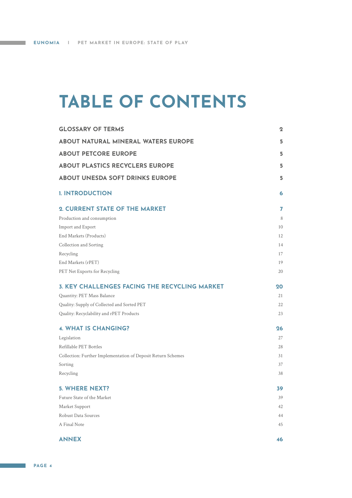and the state of

## **TABLE OF CONTENTS**

| <b>GLOSSARY OF TERMS</b>                                     | $\mathbf 2$ |
|--------------------------------------------------------------|-------------|
| <b>ABOUT NATURAL MINERAL WATERS EUROPE</b>                   | 5           |
| <b>ABOUT PETCORE EUROPE</b>                                  | 5           |
| <b>ABOUT PLASTICS RECYCLERS EUROPE</b>                       | 5           |
| <b>ABOUT UNESDA SOFT DRINKS EUROPE</b>                       | 5           |
| <b>I. INTRODUCTION</b>                                       | 6           |
| 2. CURRENT STATE OF THE MARKET                               | 7           |
| Production and consumption                                   | 8           |
| Import and Export                                            | 10          |
| End Markets (Products)                                       | 12          |
| Collection and Sorting                                       | 14          |
| Recycling                                                    | 17          |
| End Markets (rPET)                                           | 19          |
| PET Net Exports for Recycling                                | 20          |
| <b>3. KEY CHALLENGES FACING THE RECYCLING MARKET</b>         | 20          |
| Quantity: PET Mass Balance                                   | 21          |
| Quality: Supply of Collected and Sorted PET                  | 22          |
| Quality: Recyclability and rPET Products                     | 23          |
| <b>4. WHAT IS CHANGING?</b>                                  | 26          |
| Legislation                                                  | 27          |
| Refillable PET Bottles                                       | 28          |
| Collection: Further Implementation of Deposit Return Schemes | 31          |
| Sorting                                                      | 37          |
| Recycling                                                    | 38          |
| <b>5. WHERE NEXT?</b>                                        | 39          |
| Future State of the Market                                   | 39          |
| Market Support                                               | 42          |
| Robust Data Sources                                          | 44          |
| A Final Note                                                 | 45          |
| <b>ANNEX</b>                                                 | 46          |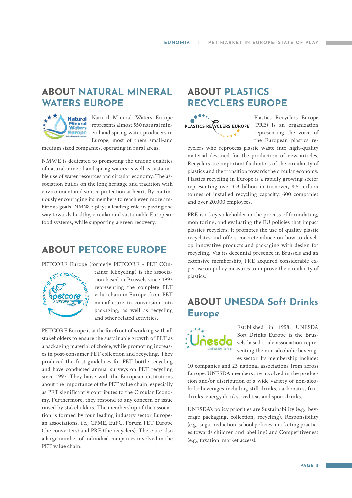### <span id="page-4-0"></span>**ABOUT NATURAL MINERAL WATERS EUROPE**



Natural Mineral Waters Europe represents almost 550 natural mineral and spring water producers in Europe, most of them small-and

medium sized companies, operating in rural areas.

NMWE is dedicated to promoting the unique qualities of natural mineral and spring waters as well as sustainable use of water resources and circular economy. The association builds on the long heritage and tradition with environment and source protection at heart. By continuously encouraging its members to reach even more ambitious goals, NMWE plays a leading role in paving the way towards healthy, circular and sustainable European food systems, while supporting a green recovery.

### **ABOUT PETCORE EUROPE**

PETCORE Europe (formerly PETCORE - PET COn-



tainer REcycling) is the association based in Brussels since 1993 representing the complete PET value chain in Europe, from PET manufacture to conversion into packaging, as well as recycling and other related activities.

PETCORE Europe is at the forefront of working with all stakeholders to ensure the sustainable growth of PET as a packaging material of choice, while promoting increases in post-consumer PET collection and recycling. They produced the first guidelines for PET bottle recycling and have conducted annual surveys on PET recycling since 1997. They liaise with the European institutions about the importance of the PET value chain, especially as PET significantly contributes to the Circular Economy. Furthermore, they respond to any concern or issue raised by stakeholders. The membership of the association is formed by four leading industry sector European associations, i.e., CPME, EuPC, Forum PET Europe (the converters) and PRE (the recyclers). There are also a large number of individual companies involved in the PET value chain.

### **ABOUT PLASTICS RECYCLERS EUROPE**



Plastics Recyclers Europe representing the voice of the European plastics re-

cyclers who reprocess plastic waste into high-quality material destined for the production of new articles. Recyclers are important facilitators of the circularity of plastics and the transition towards the circular economy. Plastics recycling in Europe is a rapidly growing sector representing over €3 billion in turnover, 8.5 million tonnes of installed recycling capacity, 600 companies and over 20.000 employees.

PRE is a key stakeholder in the process of formulating, monitoring, and evaluating the EU policies that impact plastics recyclers. It promotes the use of quality plastic recyclates and offers concrete advice on how to develop innovative products and packaging with design for recycling. Via its decennial presence in Brussels and an extensive membership, PRE acquired considerable expertise on policy measures to improve the circularity of plastics.

### **ABOUT UNESDA Soft Drinks Europe**



Established in 1958, UNESDA Soft Drinks Europe is the Brussels-based trade association representing the non-alcoholic beverages sector. Its membership includes

10 companies and 23 national associations from across Europe. UNESDA members are involved in the production and/or distribution of a wide variety of non-alcoholic beverages including still drinks, carbonates, fruit drinks, energy drinks, iced teas and sport drinks.

UNESDA's policy priorities are Sustainability (e.g., beverage packaging, collection, recycling), Responsibility (e.g., sugar reduction, school policies, marketing practices towards children and labelling) and Competitiveness (e.g., taxation, market access).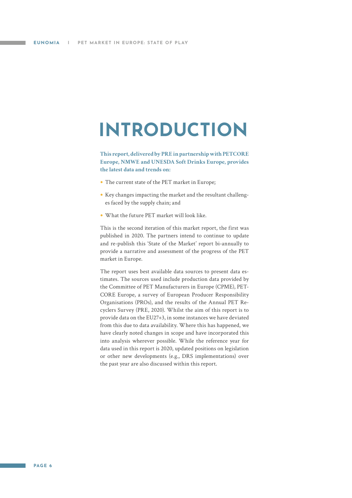## <span id="page-5-0"></span>**INTRODUCTION**

**This report, delivered by PRE in partnership with PETCORE Europe, NMWE and UNESDA Soft Drinks Europe, provides the latest data and trends on:**

- **•** The current state of the PET market in Europe;
- **•** Key changes impacting the market and the resultant challenges faced by the supply chain; and
- **•** What the future PET market will look like.

This is the second iteration of this market report, the first was published in 2020. The partners intend to continue to update and re-publish this 'State of the Market' report bi-annually to provide a narrative and assessment of the progress of the PET market in Europe.

The report uses best available data sources to present data estimates. The sources used include production data provided by the Committee of PET Manufacturers in Europe (CPME), PET-CORE Europe, a survey of European Producer Responsibility Organisations (PROs), and the results of the Annual PET Recyclers Survey (PRE, 2020). Whilst the aim of this report is to provide data on the EU27+3, in some instances we have deviated from this due to data availability. Where this has happened, we have clearly noted changes in scope and have incorporated this into analysis wherever possible. While the reference year for data used in this report is 2020, updated positions on legislation or other new developments (e.g., DRS implementations) over the past year are also discussed within this report.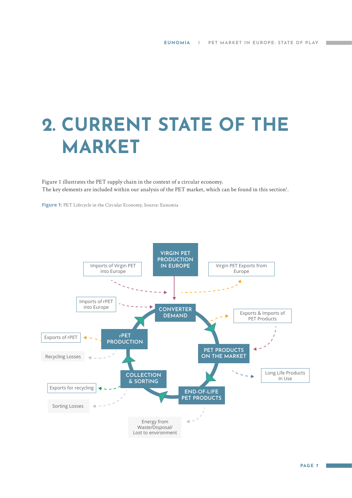# <span id="page-6-0"></span>**2. CURRENT STATE OF THE MARKET**

Figure 1 illustrates the PET supply chain in the context of a circular economy. The key elements are included within our analysis of the PET market, which can be found in this section<sup>1</sup>.

**Figure 1:** PET Lifecycle in the Circular Economy, Source: Eunomia

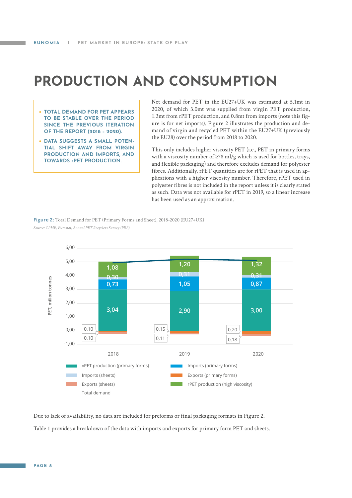### <span id="page-7-0"></span>**PRODUCTION AND CONSUMPTION**

- **• TOTAL DEMAND FOR PET APPEARS TO BE STABLE OVER THE PERIOD SINCE THE PREVIOUS ITERATION OF THE REPORT (2018 – 2020).**
- **• DATA SUGGESTS A SMALL POTEN-TIAL SHIFT AWAY FROM VIRGIN PRODUCTION AND IMPORTS, AND TOWARDS rPET PRODUCTION.**

Net demand for PET in the EU27+UK was estimated at 5.1mt in 2020, of which 3.0mt was supplied from virgin PET production, 1.3mt from rPET production, and 0.8mt from imports (note this figure is for net imports). Figure 2 illustrates the production and demand of virgin and recycled PET within the EU27+UK (previously the EU28) over the period from 2018 to 2020.

This only includes higher viscosity PET (i.e., PET in primary forms with a viscosity number of ≥78 ml/g which is used for bottles, trays, and flexible packaging) and therefore excludes demand for polyester fibres. Additionally, rPET quantities are for rPET that is used in applications with a higher viscosity number. Therefore, rPET used in polyester fibres is not included in the report unless it is clearly stated as such. Data was not available for rPET in 2019, so a linear increase has been used as an approximation.

**Figure 2:** Total Demand for PET (Primary Forms and Sheet), 2018-2020 (EU27+UK) *Source: CPME, Eurostat, Annual PET Recyclers Survey (PRE)*



Due to lack of availability, no data are included for preforms or final packaging formats in Figure 2. Table 1 provides a breakdown of the data with imports and exports for primary form PET and sheets.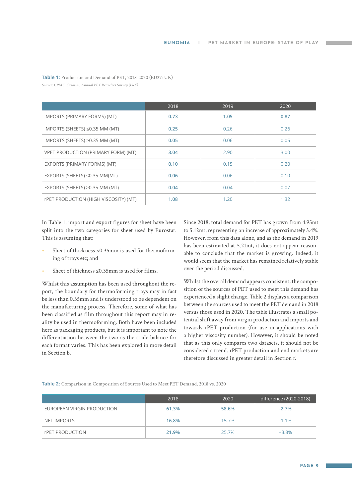|                                            | 2018 | 2019 | 2020 |
|--------------------------------------------|------|------|------|
| IMPORTS (PRIMARY FORMS) (MT)               | 0.73 | 1.05 | 0.87 |
| IMPORTS (SHEETS) ≤0.35 MM (MT)             | 0.25 | 0.26 | 0.26 |
| IMPORTS (SHEETS) > 0.35 MM (MT)            | 0.05 | 0.06 | 0.05 |
| <b>VPET PRODUCTION (PRIMARY FORM) (MT)</b> | 3.04 | 2.90 | 3.00 |
| EXPORTS (PRIMARY FORMS) (MT)               | 0.10 | 0.15 | 0.20 |
| EXPORTS (SHEETS) $\leq$ 0.35 MM(MT)        | 0.06 | 0.06 | 0.10 |
| EXPORTS (SHEETS) > 0.35 MM (MT)            | 0.04 | 0.04 | 0.07 |
| rPET PRODUCTION (HIGH VISCOSITY) (MT)      | 1.08 | 1.20 | 1.32 |

**Table 1:** Production and Demand of PET, 2018-2020 (EU27+UK)

*Source: CPME, Eurostat, Annual PET Recyclers Survey (PRE)*

In Table 1, import and export figures for sheet have been split into the two categories for sheet used by Eurostat. This is assuming that:

- Sheet of thickness > 0.35mm is used for thermoforming of trays etc; and
- Sheet of thickness ≤0.35mm is used for films.

Whilst this assumption has been used throughout the report, the boundary for thermoforming trays may in fact be less than 0.35mm and is understood to be dependent on the manufacturing process. Therefore, some of what has been classified as film throughout this report may in reality be used in thermoforming. Both have been included here as packaging products, but it is important to note the differentiation between the two as the trade balance for each format varies. This has been explored in more detail in Section b.

Since 2018, total demand for PET has grown from 4.95mt to 5.12mt, representing an increase of approximately 3.4%. However, from this data alone, and as the demand in 2019 has been estimated at 5.21mt, it does not appear reasonable to conclude that the market is growing. Indeed, it would seem that the market has remained relatively stable over the period discussed.

Whilst the overall demand appears consistent, the composition of the sources of PET used to meet this demand has experienced a slight change. Table 2 displays a comparison between the sources used to meet the PET demand in 2018 versus those used in 2020. The table illustrates a small potential shift away from virgin production and imports and towards rPET production (for use in applications with a higher viscosity number). However, it should be noted that as this only compares two datasets, it should not be considered a trend. rPET production and end markets are therefore discussed in greater detail in Section f.

**Table 2:** Comparison in Composition of Sources Used to Meet PET Demand, 2018 vs. 2020

|                            | 2018  | 2020  | difference (2020-2018) |
|----------------------------|-------|-------|------------------------|
| EUROPEAN VIRGIN PRODUCTION | 61.3% | 58.6% | $-2.7%$                |
| NET IMPORTS                | 16.8% | 15.7% | $-1.1\%$               |
| rPET PRODUCTION            | 21.9% | 25.7% | $+3.8%$                |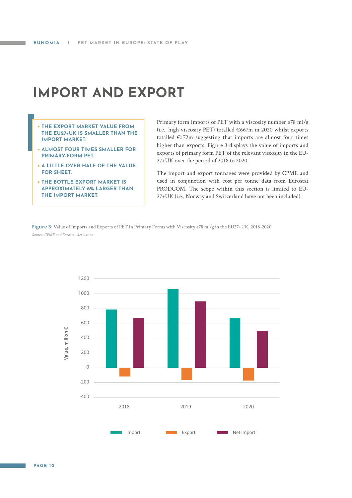### <span id="page-9-0"></span>**IMPORT AND EXPORT**

- **• THE EXPORT MARKET VALUE FROM THE EU27+UK IS SMALLER THAN THE IMPORT MARKET.**
- **• ALMOST FOUR TIMES SMALLER FOR PRIMARY-FORM PET.**
- **• A LITTLE OVER HALF OF THE VALUE FOR SHEET.**
- **• THE BOTTLE EXPORT MARKET IS APPROXIMATELY 6% LARGER THAN THE IMPORT MARKET.**

Primary form imports of PET with a viscosity number ≥78 ml/g (i.e., high viscosity PET) totalled €667m in 2020 whilst exports totalled  $E172m$  suggesting that imports are almost four times higher than exports. Figure 3 displays the value of imports and exports of primary form PET of the relevant viscosity in the EU-27+UK over the period of 2018 to 2020.

The import and export tonnages were provided by CPME and used in conjunction with cost per tonne data from Eurostat PRODCOM. The scope within this section is limited to EU-27+UK (i.e., Norway and Switzerland have not been included).

**Figure 3:** Value of Imports and Exports of PET in Primary Forms with Viscosity ≥78 ml/g in the EU27+UK, 2018-2020 *Source: CPME and Eurostat, derivation*

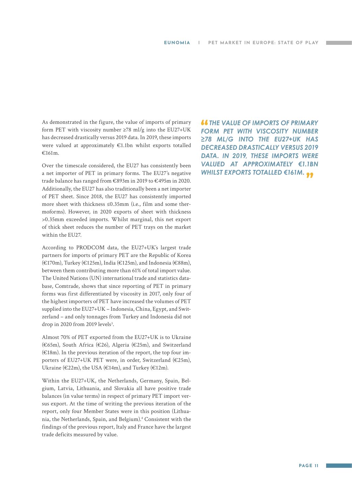As demonstrated in the figure, the value of imports of primary form PET with viscosity number  $\geq 78$  ml/g into the EU27+UK has decreased drastically versus 2019 data. In 2019, these imports were valued at approximately €1.1bn whilst exports totalled €161m.

Over the timescale considered, the EU27 has consistently been a net importer of PET in primary forms. The EU27's negative trade balance has ranged from €893m in 2019 to €495m in 2020. Additionally, the EU27 has also traditionally been a net importer of PET sheet. Since 2018, the EU27 has consistently imported more sheet with thickness ≤0.35mm (i.e., film and some thermoforms). However, in 2020 exports of sheet with thickness >0.35mm exceeded imports. Whilst marginal, this net export of thick sheet reduces the number of PET trays on the market within the EU27.

According to PRODCOM data, the EU27+UK's largest trade partners for imports of primary PET are the Republic of Korea (€170m), Turkey (€125m), India (€125m), and Indonesia (€88m), between them contributing more than 61% of total import value. The United Nations (UN) international trade and statistics database, Comtrade, shows that since reporting of PET in primary forms was first differentiated by viscosity in 2017, only four of the highest importers of PET have increased the volumes of PET supplied into the EU27+UK – Indonesia, China, Egypt, and Switzerland – and only tonnages from Turkey and Indonesia did not drop in 2020 from 2019 levels<sup>3</sup>.

Almost 70% of PET exported from the EU27+UK is to Ukraine (€65m), South Africa (€26), Algeria (€25m), and Switzerland (€18m). In the previous iteration of the report, the top four importers of EU27+UK PET were, in order, Switzerland (€25m), Ukraine ( $\in$ 22m), the USA ( $\in$ 14m), and Turkey ( $\in$ 12m).

Within the EU27+UK, the Netherlands, Germany, Spain, Belgium, Latvia, Lithuania, and Slovakia all have positive trade balances (in value terms) in respect of primary PET import versus export. At the time of writing the previous iteration of the report, only four Member States were in this position (Lithuania, the Netherlands, Spain, and Belgium).4 Consistent with the findings of the previous report, Italy and France have the largest trade deficits measured by value.

 *THE VALUE OF IMPORTS OF PRIMARY FORM PET WITH VISCOSITY NUMBER ≥78 ML/G INTO THE EU27+UK HAS DECREASED DRASTICALLY VERSUS 2019 DATA. IN 2019, THESE IMPORTS WERE VALUED AT APPROXIMATELY €1.1BN WHILST EXPORTS TOTALLED €161M.*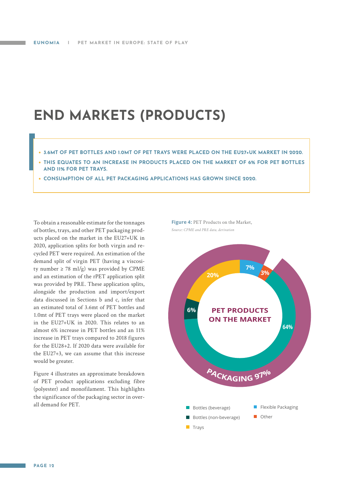### <span id="page-11-0"></span>**END MARKETS (PRODUCTS)**

- **• 3.6MT OF PET BOTTLES AND 1.0MT OF PET TRAYS WERE PLACED ON THE EU27+UK MARKET IN 2020.**
- **• THIS EQUATES TO AN INCREASE IN PRODUCTS PLACED ON THE MARKET OF 6% FOR PET BOTTLES AND 11% FOR PET TRAYS.**
- **• CONSUMPTION OF ALL PET PACKAGING APPLICATIONS HAS GROWN SINCE 2020.**

To obtain a reasonable estimate for the tonnages of bottles, trays, and other PET packaging products placed on the market in the EU27+UK in 2020, application splits for both virgin and recycled PET were required. An estimation of the demand split of virgin PET (having a viscosity number  $\geq$  78 ml/g) was provided by CPME and an estimation of the rPET application split was provided by PRE. These application splits, alongside the production and import/export data discussed in Sections b and c, infer that an estimated total of 3.6mt of PET bottles and 1.0mt of PET trays were placed on the market in the EU27+UK in 2020. This relates to an almost 6% increase in PET bottles and an 11% increase in PET trays compared to 2018 figures for the EU28+2. If 2020 data were available for the EU27+3, we can assume that this increase would be greater.

Figure 4 illustrates an approximate breakdown of PET product applications excluding fibre (polyester) and monofilament. This highlights the significance of the packaging sector in overall demand for PET. The settles (beverage) and settles (beverage)

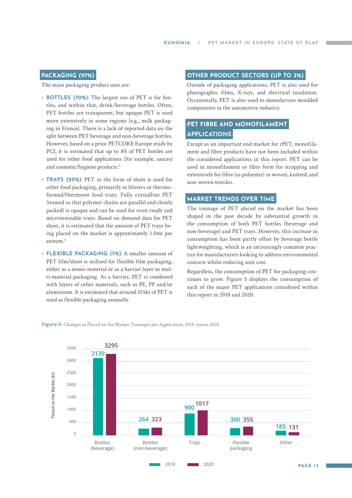#### **PACKAGING (97%)**

The main packaging product uses are:

- **• BOTTLES (70%):** The largest use of PET is for bottles, and within that, drink/beverage bottles. Often, PET bottles are transparent, but opaque PET is used more extensively in some regions (e.g., milk packaging in France). There is a lack of reported data on the split between PET beverage and non-beverage bottles. However, based on a prior PETCORE Europe study by PCI, it is estimated that up to 8% of PET bottles are used for other food applications (for example, sauces) and cosmetic/hygiene products.<sup>5</sup>
- **• TRAYS (20%):** PET in the form of sheet is used for other food packaging, primarily in blisters or thermoformed/thermoset food trays. Fully crystalline PET (treated so that polymer chains are parallel and closely packed) is opaque and can be used for oven-ready and microwaveable trays. Based on demand data for PET sheet, it is estimated that the amount of PET trays being placed on the market is approximately 1.0mt per annum.6
- **• FLEXIBLE PACKAGING (7%):** A smaller amount of PET film/sheet is utilised for flexible film packaging, either as a mono-material or as a barrier layer in multi-material packaging. As a barrier, PET is combined with layers of other materials, such as PE, PP and/or aluminium. It is estimated that around 355kt of PET is used as flexible packaging annually.

#### **OTHER PRODUCT SECTORS (UP TO 3%)**

Outside of packaging applications, PET is also used for photographic films, X-rays, and electrical insulation. Occasionally, PET is also used to manufacture moulded components in the automotive industry.

#### **PET FIBRE AND MONOFILAMENT APPLICATIONS**

Except as an important end market for rPET, monofilament and fibre products have not been included within the considered applications in this report. PET can be used in monofilament or fibre form for strapping and extensively for fibre (as polyester) in woven, knitted, and non-woven textiles.

#### **MARKET TRENDS OVER TIME**

The tonnage of PET placed on the market has been shaped in the past decade by substantial growth in the consumption of both PET bottles (beverage and non-beverage) and PET trays. However, this increase in consumption has been partly offset by beverage bottle lightweighting, which is an increasingly common practice for manufacturers looking to address environmental concern whilst reducing unit cost.

Regardless, the consumption of PET for packaging continues to grow. Figure 5 displays the consumption of each of the major PET applications considered within this report in 2018 and 2020.



**Figure 5:** Changes in Placed on the Market Tonnages per Application, 2018 versus 2020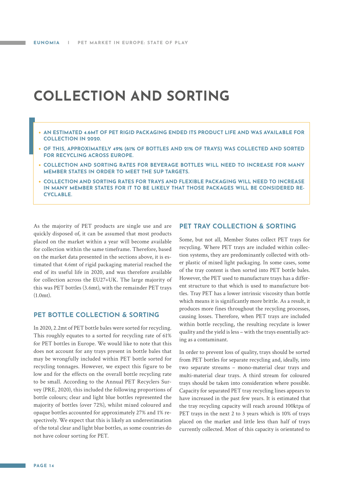### <span id="page-13-0"></span>**COLLECTION AND SORTING**

- **• AN ESTIMATED 4.6MT OF PET RIGID PACKAGING ENDED ITS PRODUCT LIFE AND WAS AVAILABLE FOR COLLECTION IN 2020.**
- **• OF THIS, APPROXIMATELY 49% (61% OF BOTTLES AND 21% OF TRAYS) WAS COLLECTED AND SORTED FOR RECYCLING ACROSS EUROPE.**
- **• COLLECTION AND SORTING RATES FOR BEVERAGE BOTTLES WILL NEED TO INCREASE FOR MANY MEMBER STATES IN ORDER TO MEET THE SUP TARGETS.**
- **• COLLECTION AND SORTING RATES FOR TRAYS AND FLEXIBLE PACKAGING WILL NEED TO INCREASE IN MANY MEMBER STATES FOR IT TO BE LIKELY THAT THOSE PACKAGES WILL BE CONSIDERED RE-CYCLABLE.**

As the majority of PET products are single use and are quickly disposed of, it can be assumed that most products placed on the market within a year will become available for collection within the same timeframe. Therefore, based on the market data presented in the sections above, it is estimated that 4.6mt of rigid packaging material reached the end of its useful life in 2020, and was therefore available for collection across the EU27+UK. The large majority of this was PET bottles (3.6mt), with the remainder PET trays (1.0mt).

#### **PET BOTTLE COLLECTION & SORTING**

In 2020, 2.2mt of PET bottle bales were sorted for recycling. This roughly equates to a sorted for recycling rate of 61% for PET bottles in Europe. We would like to note that this does not account for any trays present in bottle bales that may be wrongfully included within PET bottle sorted for recycling tonnages. However, we expect this figure to be low and for the effects on the overall bottle recycling rate to be small. According to the Annual PET Recyclers Survey (PRE, 2020), this included the following proportions of bottle colours; clear and light blue bottles represented the majority of bottles (over 72%), whilst mixed coloured and opaque bottles accounted for approximately 27% and 1% respectively. We expect that this is likely an underestimation of the total clear and light blue bottles, as some countries do not have colour sorting for PET.

#### **PET TRAY COLLECTION & SORTING**

Some, but not all, Member States collect PET trays for recycling. Where PET trays are included within collection systems, they are predominantly collected with other plastic of mixed light packaging. In some cases, some of the tray content is then sorted into PET bottle bales. However, the PET used to manufacture trays has a different structure to that which is used to manufacture bottles. Tray PET has a lower intrinsic viscosity than bottle which means it is significantly more brittle. As a result, it produces more fines throughout the recycling processes, causing losses. Therefore, when PET trays are included within bottle recycling, the resulting recyclate is lower quality and the yield is less – with the trays essentially acting as a contaminant.

In order to prevent loss of quality, trays should be sorted from PET bottles for separate recycling and, ideally, into two separate streams – mono-material clear trays and multi-material clear trays. A third stream for coloured trays should be taken into consideration where possible. Capacity for separated PET tray recycling lines appears to have increased in the past few years. It is estimated that the tray recycling capacity will reach around 100ktpa of PET trays in the next 2 to 3 years which is 10% of trays placed on the market and little less than half of trays currently collected. Most of this capacity is orientated to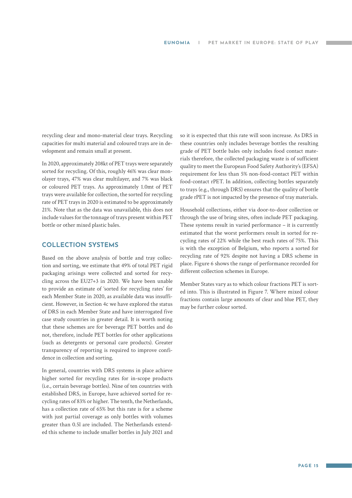recycling clear and mono-material clear trays. Recycling capacities for multi material and coloured trays are in development and remain small at present.

In 2020, approximately 208kt of PET trays were separately sorted for recycling. Of this, roughly 46% was clear monolayer trays, 47% was clear multilayer, and 7% was black or coloured PET trays. As approximately 1.0mt of PET trays were available for collection, the sorted for recycling rate of PET trays in 2020 is estimated to be approximately 21%. Note that as the data was unavailable, this does not include values for the tonnage of trays present within PET bottle or other mixed plastic bales.

#### **COLLECTION SYSTEMS**

Based on the above analysis of bottle and tray collection and sorting, we estimate that 49% of total PET rigid packaging arisings were collected and sorted for recycling across the EU27+3 in 2020. We have been unable to provide an estimate of 'sorted for recycling rates' for each Member State in 2020, as available data was insufficient. However, in Section 4c we have explored the status of DRS in each Member State and have interrogated five case study countries in greater detail. It is worth noting that these schemes are for beverage PET bottles and do not, therefore, include PET bottles for other applications (such as detergents or personal care products). Greater transparency of reporting is required to improve confidence in collection and sorting.

In general, countries with DRS systems in place achieve higher sorted for recycling rates for in-scope products (i.e., certain beverage bottles). Nine of ten countries with established DRS, in Europe, have achieved sorted for recycling rates of 83% or higher. The tenth, the Netherlands, has a collection rate of 65% but this rate is for a scheme with just partial coverage as only bottles with volumes greater than 0.5l are included. The Netherlands extended this scheme to include smaller bottles in July 2021 and

so it is expected that this rate will soon increase. As DRS in these countries only includes beverage bottles the resulting grade of PET bottle bales only includes food contact materials therefore, the collected packaging waste is of sufficient quality to meet the European Food Safety Authority's (EFSA) requirement for less than 5% non-food-contact PET within food-contact rPET. In addition, collecting bottles separately to trays (e.g., through DRS) ensures that the quality of bottle grade rPET is not impacted by the presence of tray materials.

Household collections, either via door-to-door collection or through the use of bring sites, often include PET packaging. These systems result in varied performance – it is currently estimated that the worst performers result in sorted for recycling rates of 22% while the best reach rates of 75%. This is with the exception of Belgium, who reports a sorted for recycling rate of 92% despite not having a DRS scheme in place. Figure 6 shows the range of performance recorded for different collection schemes in Europe.

Member States vary as to which colour fractions PET is sorted into. This is illustrated in Figure 7. Where mixed colour fractions contain large amounts of clear and blue PET, they may be further colour sorted.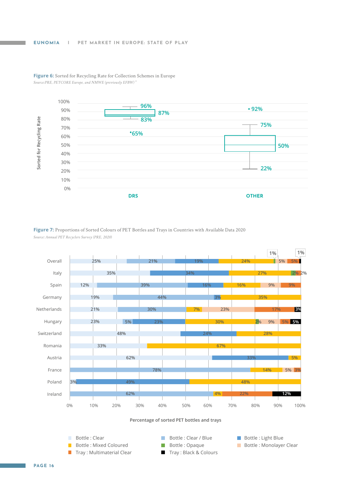

**Figure 6:** Sorted for Recycling Rate for Collection Schemes in Europe *Source:PRE, PETCORE Europe, and NMWE (previously EFBW) 9*

Figure 7: Proportions of Sorted Colours of PET Bottles and Trays in Countries with Available Data 2020 *Source: Annual PET Recyclers Survey (PRE, 2020)*

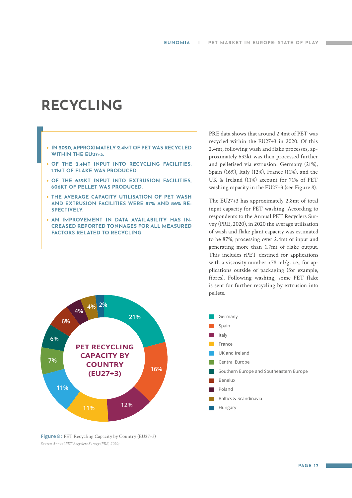### <span id="page-16-0"></span>**RECYCLING**

#### **• IN 2020, APPROXIMATELY 2.4MT OF PET WAS RECYCLED WITHIN THE EU27+3.**

- **• OF THE 2.4MT INPUT INTO RECYCLING FACILITIES, 1.7MT OF FLAKE WAS PRODUCED.**
- **• OF THE 632KT INPUT INTO EXTRUSION FACILITIES, 606KT OF PELLET WAS PRODUCED.**
- **• THE AVERAGE CAPACITY UTILISATION OF PET WASH AND EXTRUSION FACILITIES WERE 87% AND 86% RE-SPECTIVELY.**
- **• AN IMPROVEMENT IN DATA AVAILABILITY HAS IN-CREASED REPORTED TONNAGES FOR ALL MEASURED FACTORS RELATED TO RECYCLING.**

PRE data shows that around 2.4mt of PET was recycled within the EU27+3 in 2020. Of this 2.4mt, following wash and flake processes, approximately 632kt was then processed further and pelletised via extrusion. Germany (21%), Spain (16%), Italy (12%), France (11%), and the UK & Ireland (11%) account for 71% of PET washing capacity in the EU27+3 (see Figure 8).

The EU27+3 has approximately 2.8mt of total input capacity for PET washing. According to respondents to the Annual PET Recyclers Survey (PRE, 2020), in 2020 the average utilisation of wash and flake plant capacity was estimated to be 87%, processing over 2.4mt of input and generating more than 1.7mt of flake output. This includes rPET destined for applications with a viscosity number  $\langle 78 \text{ ml/g, i.e., for ap-} \rangle$ plications outside of packaging (for example, fibres). Following washing, some PET flake is sent for further recycling by extrusion into pellets.



**Figure 8 : PET Recycling Capacity by Country (EU27+3)** *Source: Annual PET Recyclers Survey (PRE, 2020)*

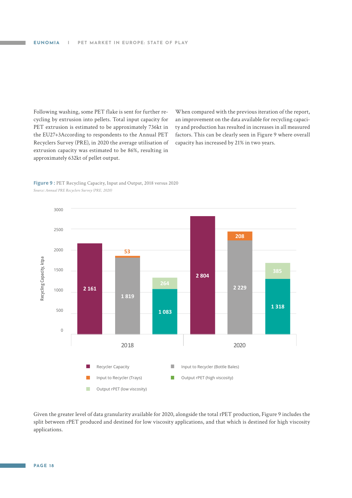Following washing, some PET flake is sent for further recycling by extrusion into pellets. Total input capacity for PET extrusion is estimated to be approximately 736kt in the EU27+3According to respondents to the Annual PET Recyclers Survey (PRE), in 2020 the average utilisation of extrusion capacity was estimated to be 86%, resulting in approximately 632kt of pellet output.

When compared with the previous iteration of the report, an improvement on the data available for recycling capacity and production has resulted in increases in all measured factors. This can be clearly seen in Figure 9 where overall capacity has increased by 21% in two years.





Given the greater level of data granularity available for 2020, alongside the total rPET production, Figure 9 includes the split between rPET produced and destined for low viscosity applications, and that which is destined for high viscosity applications.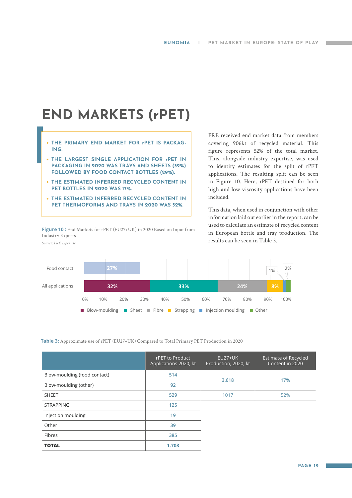## <span id="page-18-0"></span>**END MARKETS (rPET)**

- **• THE PRIMARY END MARKET FOR rPET IS PACKAG-ING.**
- **• THE LARGEST SINGLE APPLICATION FOR rPET IN PACKAGING IN 2020 WAS TRAYS AND SHEETS (32%) FOLLOWED BY FOOD CONTACT BOTTLES (29%).**
- **• THE ESTIMATED INFERRED RECYCLED CONTENT IN PET BOTTLES IN 2020 WAS 17%.**
- **• THE ESTIMATED INFERRED RECYCLED CONTENT IN PET THERMOFORMS AND TRAYS IN 2020 WAS 52%.**

Figure 10 : End Markets for rPET (EU27+UK) in 2020 Based on Input from Industry Experts *Source: PRE expertise*

PRE received end market data from members covering 906kt of recycled material. This figure represents 52% of the total market. This, alongside industry expertise, was used to identify estimates for the split of rPET applications. The resulting split can be seen in Figure 10. Here, rPET destined for both high and low viscosity applications have been included.

This data, when used in conjunction with other information laid out earlier in the report, can be used to calculate an estimate of recycled content in European bottle and tray production. The results can be seen in Table 3.



**Table 3:** Approximate use of rPET (EU27+UK) Compared to Total Primary PET Production in 2020

|                              | rPET to Product<br>Applications 2020, kt | <b>EU27+UK</b><br>Production, 2020, kt | <b>Estimate of Recycled</b><br>Content in 2020 |
|------------------------------|------------------------------------------|----------------------------------------|------------------------------------------------|
| Blow-moulding (food contact) | 514                                      | 3.618                                  | 17%                                            |
| Blow-moulding (other)        | 92                                       |                                        |                                                |
| <b>SHEET</b>                 | 529                                      | 1017                                   | 52%                                            |
| <b>STRAPPING</b>             | 125                                      |                                        |                                                |
| Injection moulding           | 19                                       |                                        |                                                |
| Other                        | 39                                       |                                        |                                                |
| Fibres                       | 385                                      |                                        |                                                |
| <b>TOTAL</b>                 | 1.703                                    |                                        |                                                |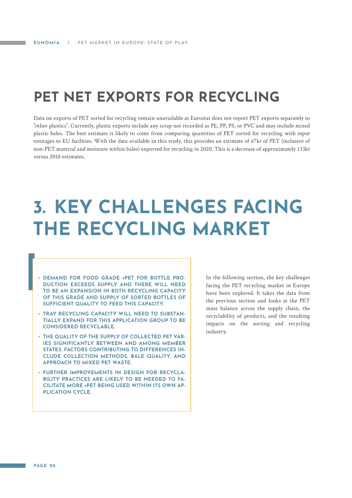### <span id="page-19-0"></span>**PET NET EXPORTS FOR RECYCLING**

Data on exports of PET sorted for recycling remain unavailable as Eurostat does not report PET exports separately to "other plastics". Currently, plastic exports include any scrap not recorded as PE, PP, PS, or PVC and may include mixed plastic bales. The best estimate is likely to come from comparing quantities of PET sorted for recycling with input tonnages to EU facilities. With the data available in this study, this provides an estimate of 67kt of PET (inclusive of non-PET material and moisture within bales) exported for recycling in 2020. This is a decrease of approximately 133kt versus 2018 estimates.

# **3. KEY CHALLENGES FACING THE RECYCLING MARKET**

- **• DEMAND FOR FOOD GRADE rPET FOR BOTTLE PRO-DUCTION EXCEEDS SUPPLY AND THERE WILL NEED TO BE AN EXPANSION IN BOTH RECYCLING CAPACITY OF THIS GRADE AND SUPPLY OF SORTED BOTTLES OF SUFFICIENT QUALITY TO FEED THIS CAPACITY.**
- **• TRAY RECYCLING CAPACITY WILL NEED TO SUBSTAN-TIALLY EXPAND FOR THIS APPLICATION GROUP TO BE CONSIDERED RECYCLABLE.**
- **• THE QUALITY OF THE SUPPLY OF COLLECTED PET VAR-IES SIGNIFICANTLY BETWEEN AND AMONG MEMBER STATES. FACTORS CONTRIBUTING TO DIFFERENCES IN-CLUDE COLLECTION METHODS, BALE QUALITY, AND APPROACH TO MIXED PET WASTE.**
- **• FURTHER IMPROVEMENTS IN DESIGN FOR RECYCLA-BILITY PRACTICES ARE LIKELY TO BE NEEDED TO FA-CILITATE MORE rPET BEING USED WITHIN ITS OWN AP-PLICATION CYCLE.**

In the following section, the key challenges facing the PET recycling market in Europe have been explored. It takes the data from the previous section and looks at the PET mass balance across the supply chain, the recyclability of products, and the resulting impacts on the sorting and recycling industry.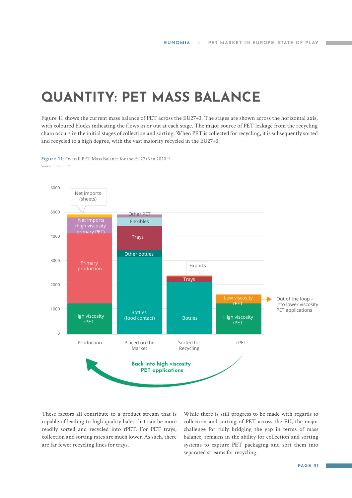### <span id="page-20-0"></span>**QUANTITY: PET MASS BALANCE**

Figure 11 shows the current mass balance of PET across the EU27+3. The stages are shown across the horizontal axis, with coloured blocks indicating the flows in or out at each stage. The major source of PET leakage from the recycling chain occurs in the initial stages of collection and sorting. When PET is collected for recycling, it is subsequently sorted and recycled to a high degree, with the vast majority recycled in the EU27+3.

**Figure 11:** Overall PET Mass Balance for the EU27+3 in 2020<sup>10</sup> *Source: Eunomia 11*



These factors all contribute to a product stream that is capable of leading to high quality bales that can be more readily sorted and recycled into rPET. For PET trays, collection and sorting rates are much lower. As such, there are far fewer recycling lines for trays.

While there is still progress to be made with regards to collection and sorting of PET across the EU, the major challenge for fully bridging the gap in terms of mass balance, remains in the ability for collection and sorting systems to capture PET packaging and sort them into separated streams for recycling.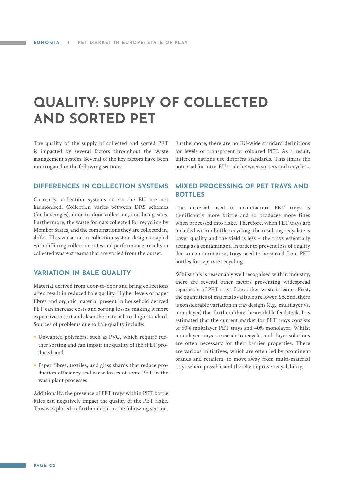### <span id="page-21-0"></span>**QUALITY: SUPPLY OF COLLECTED AND SORTED PET**

The quality of the supply of collected and sorted PET is impacted by several factors throughout the waste management system. Several of the key factors have been interrogated in the following sections.

**DIFFERENCES IN COLLECTION SYSTEMS**

Currently, collection systems across the EU are not harmonised. Collection varies between DRS schemes (for beverages), door-to-door collection, and bring sites. Furthermore, the waste formats collected for recycling by Member States, and the combinations they are collected in, differ. This variation in collection system design, coupled with differing collection rates and performance, results in collected waste streams that are varied from the outset.

#### **VARIATION IN BALE QUALITY**

Material derived from door-to-door and bring collections often result in reduced bale quality. Higher levels of paper fibres and organic material present in household derived PET can increase costs and sorting losses, making it more expensive to sort and clean the material to a high standard. Sources of problems due to bale quality include:

- **•** Unwanted polymers, such as PVC, which require further sorting and can impair the quality of the rPET produced; and
- **•** Paper fibres, textiles, and glass shards that reduce production efficiency and cause losses of some PET in the wash plant processes.

Additionally, the presence of PET trays within PET bottle bales can negatively impact the quality of the PET flake. This is explored in further detail in the following section.

Furthermore, there are no EU-wide standard definitions for levels of transparent or coloured PET. As a result, different nations use different standards. This limits the potential for intra-EU trade between sorters and recyclers.

#### **MIXED PROCESSING OF PET TRAYS AND BOTTLES**

The material used to manufacture PET trays is significantly more brittle and so produces more fines when processed into flake. Therefore, when PET trays are included within bottle recycling, the resulting recyclate is lower quality and the yield is less – the trays essentially acting as a contaminant. In order to prevent loss of quality due to contamination, trays need to be sorted from PET bottles for separate recycling.

Whilst this is reasonably well recognised within industry, there are several other factors preventing widespread separation of PET trays from other waste streams. First, the quantities of material available are lower. Second, there is considerable variation in tray designs (e.g., multilayer vs. monolayer) that further dilute the available feedstock. It is estimated that the current market for PET trays consists of 60% multilayer PET trays and 40% monolayer. Whilst monolayer trays are easier to recycle, multilayer solutions are often necessary for their barrier properties. There are various initiatives, which are often led by prominent brands and retailers, to move away from multi-material trays where possible and thereby improve recyclability.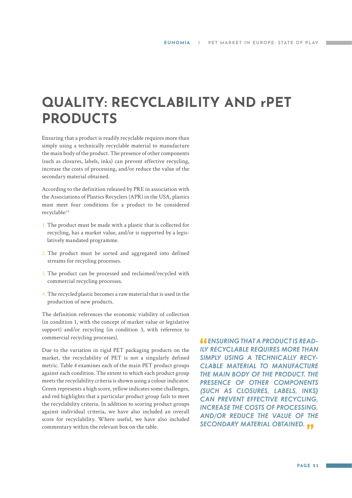### <span id="page-22-0"></span>**QUALITY: RECYCLABILITY AND rPET PRODUCTS**

Ensuring that a product is readily recyclable requires more than simply using a technically recyclable material to manufacture the main body of the product. The presence of other components (such as closures, labels, inks) can prevent effective recycling, increase the costs of processing, and/or reduce the value of the secondary material obtained.

According to the definition released by PRE in association with the Associations of Plastics Recyclers (APR) in the USA, plastics must meet four conditions for a product to be considered recyclable:12

- 1. The product must be made with a plastic that is collected for recycling, has a market value, and/or is supported by a legislatively mandated programme.
- 2. The product must be sorted and aggregated into defined streams for recycling processes.
- 3. The product can be processed and reclaimed/recycled with commercial recycling processes.
- 4. The recycled plastic becomes a raw material that is used in the production of new products.

The definition references the economic viability of collection (in condition 1, with the concept of market value or legislative support) and/or recycling (in condition 3, with reference to commercial recycling processes).

Due to the variation in rigid PET packaging products on the market, the recyclability of PET is not a singularly defined metric. Table 4 examines each of the main PET product groups against each condition. The extent to which each product group meets the recyclability criteria is shown using a colour indicator. Green represents a high score, yellow indicates some challenges, and red highlights that a particular product group fails to meet the recyclability criteria. In addition to scoring product groups against individual criteria, we have also included an overall score for recyclability. Where useful, we have also included commentary within the relevant box on the table.

 *ENSURING THAT A PRODUCT IS READ-ILY RECYCLABLE REQUIRES MORE THAN SIMPLY USING A TECHNICALLY RECY-CLABLE MATERIAL TO MANUFACTURE THE MAIN BODY OF THE PRODUCT. THE PRESENCE OF OTHER COMPONENTS (SUCH AS CLOSURES, LABELS, INKS) CAN PREVENT EFFECTIVE RECYCLING, INCREASE THE COSTS OF PROCESSING, AND/OR REDUCE THE VALUE OF THE SECONDARY MATERIAL OBTAINED.*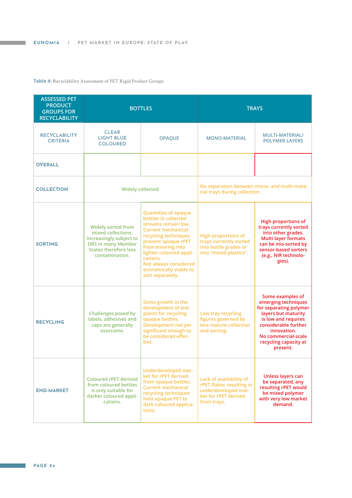#### **Table 4:** Recyclability Assessment of PET Rigid Product Groups

| <b>ASSESSED PET</b><br><b>PRODUCT</b><br><b>GROUPS FOR</b><br><b>RECYCLABILITY</b>                                                       | <b>BOTTLES</b>                                                                                                                                     |                                                                                                                                                                                                                                                                                                   |                                                                                                                   | <b>TRAYS</b>                                                                                                                                                                                                       |
|------------------------------------------------------------------------------------------------------------------------------------------|----------------------------------------------------------------------------------------------------------------------------------------------------|---------------------------------------------------------------------------------------------------------------------------------------------------------------------------------------------------------------------------------------------------------------------------------------------------|-------------------------------------------------------------------------------------------------------------------|--------------------------------------------------------------------------------------------------------------------------------------------------------------------------------------------------------------------|
| <b>RECYCLABILITY</b><br><b>CRITERIA</b>                                                                                                  | <b>CLEAR</b><br><b>LIGHT BLUE</b><br><b>COLOURED</b>                                                                                               | <b>OPAQUE</b>                                                                                                                                                                                                                                                                                     | <b>MONO-MATERIAL</b>                                                                                              | <b>MULTI-MATERIAL/</b><br><b>POLYMER LAYERS</b>                                                                                                                                                                    |
| <b>OVERALL</b>                                                                                                                           |                                                                                                                                                    |                                                                                                                                                                                                                                                                                                   |                                                                                                                   |                                                                                                                                                                                                                    |
| <b>COLLECTION</b>                                                                                                                        | Widely collected.                                                                                                                                  |                                                                                                                                                                                                                                                                                                   | No separation between mono- and multi-mate-<br>rial trays during collection.                                      |                                                                                                                                                                                                                    |
| <b>SORTING</b>                                                                                                                           | <b>Widely sorted from</b><br>mixed collections.<br>Increasingly subject to<br><b>DRS in many Member</b><br>States therefore less<br>contamination. | <b>Quantities of opaque</b><br>bottles in collected<br>streams remain low.<br><b>Current mechanical</b><br>recycling techniques<br>prevent opaque rPET<br>from entering into<br>lighter coloured appli-<br>cations.<br><b>Not always considered</b><br>economically viable to<br>sort separately. | <b>High proportions of</b><br>trays currently sorted<br>into bottle grades or<br>into "mixed plastics".           | <b>High proportions of</b><br>trays currently sorted<br>into other grades.<br><b>Multi-layer formats</b><br>can be mis-sorted by<br>sensor-based sorters<br>(e.g., NIR technolo-<br>gies).                         |
| <b>RECYCLING</b>                                                                                                                         | <b>Challenges posed by</b><br>labels, adhesives and<br>caps are generally<br>overcome.                                                             | Some growth in the<br>development of test<br>plants for recycling<br>opaque bottles.<br><b>Development not yet</b><br>significant enough to<br>be considered effec-<br>tive.                                                                                                                      | Low tray recycling<br>figures governed by<br>less mature collection<br>and sorting.                               | Some examples of<br>emerging techniques<br>for separating polymer<br>layers but maturity<br>is low and requires<br>considerable further<br>innovation.<br>No commercial-scale<br>recycling capacity at<br>present. |
| <b>Coloured rPET derived</b><br>from coloured bottles<br><b>END-MARKET</b><br>is only suitable for<br>darker coloured appli-<br>cations. |                                                                                                                                                    | Underdeveloped mar-<br>ket for rPET derived<br>from opaque bottles.<br><b>Current mechanical</b><br>recycling techniques<br>limit opaque PET to<br>dark coloured applica-<br>tions.                                                                                                               | Lack of availability of<br>rPET flakes resulting in<br>underdeveloped mar-<br>ket for rPET derived<br>from trays. | Unless layers can<br>be separated, any<br>resulting rPET would<br>be mixed polymer<br>with very low market<br>demand.                                                                                              |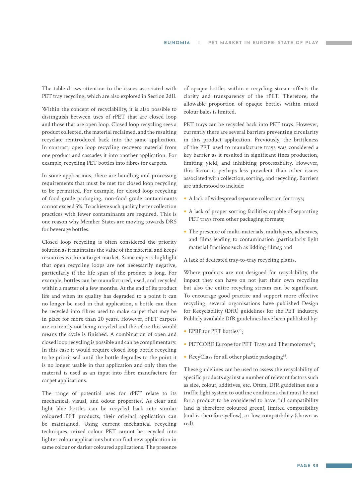The table draws attention to the issues associated with PET tray recycling, which are also explored in Section 2dII.

Within the concept of recyclability, it is also possible to distinguish between uses of rPET that are closed loop and those that are open loop. Closed loop recycling sees a product collected, the material reclaimed, and the resulting recyclate reintroduced back into the same application. In contrast, open loop recycling recovers material from one product and cascades it into another application. For example, recycling PET bottles into fibres for carpets.

In some applications, there are handling and processing requirements that must be met for closed loop recycling to be permitted. For example, for closed loop recycling of food grade packaging, non-food grade contaminants cannot exceed 5%. To achieve such quality better collection practices with fewer contaminants are required. This is one reason why Member States are moving towards DRS for beverage bottles.

Closed loop recycling is often considered the priority solution as it maintains the value of the material and keeps resources within a target market. Some experts highlight that open recycling loops are not necessarily negative, particularly if the life span of the product is long. For example, bottles can be manufactured, used, and recycled within a matter of a few months. At the end of its product life and when its quality has degraded to a point it can no longer be used in that application, a bottle can then be recycled into fibres used to make carpet that may be in place for more than 20 years. However, rPET carpets are currently not being recycled and therefore this would means the cycle is finished. A combination of open and closed loop recycling is possible and can be complimentary. In this case it would require closed loop bottle recycling to be prioritised until the bottle degrades to the point it is no longer usable in that application and only then the material is used as an input into fibre manufacture for carpet applications.

The range of potential uses for rPET relate to its mechanical, visual, and odour properties. As clear and light blue bottles can be recycled back into similar coloured PET products, their original application can be maintained. Using current mechanical recycling techniques, mixed colour PET cannot be recycled into lighter colour applications but can find new application in same colour or darker coloured applications. The presence

of opaque bottles within a recycling stream affects the clarity and transparency of the rPET. Therefore, the allowable proportion of opaque bottles within mixed colour bales is limited.

PET trays can be recycled back into PET trays. However, currently there are several barriers preventing circularity in this product application. Previously, the brittleness of the PET used to manufacture trays was considered a key barrier as it resulted in significant fines production, limiting yield, and inhibiting processability. However, this factor is perhaps less prevalent than other issues associated with collection, sorting, and recycling. Barriers are understood to include:

- **•** A lack of widespread separate collection for trays;
- **•** A lack of proper sorting facilities capable of separating PET trays from other packaging formats;
- **•** The presence of multi-materials, multilayers, adhesives, and films leading to contamination (particularly light material fractions such as lidding films); and

A lack of dedicated tray-to-tray recycling plants.

Where products are not designed for recyclability, the impact they can have on not just their own recycling but also the entire recycling stream can be significant. To encourage good practice and support more effective recycling, several organisations have published Design for Recyclability (DfR) guidelines for the PET industry. Publicly available DfR guidelines have been published by:

- EPBP for PET bottles<sup>13</sup>;
- PETCORE Europe for PET Trays and Thermoforms<sup>14</sup>;
- RecyClass for all other plastic packaging<sup>15</sup>.

These guidelines can be used to assess the recyclability of specific products against a number of relevant factors such as size, colour, additives, etc. Often, DfR guidelines use a traffic light system to outline conditions that must be met for a product to be considered to have full compatibility (and is therefore coloured green), limited compatibility (and is therefore yellow), or low compatibility (shown as red).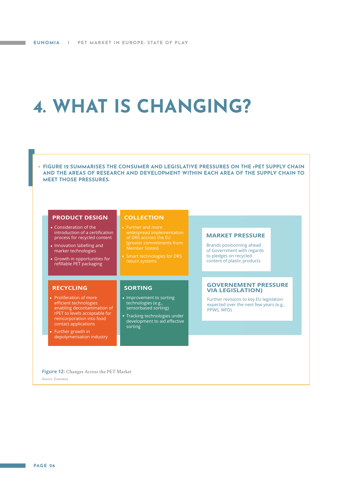## <span id="page-25-0"></span>**4. WHAT IS CHANGING?**



**• FIGURE 12 SUMMARISES THE CONSUMER AND LEGISLATIVE PRESSURES ON THE rPET SUPPLY CHAIN AND THE AREAS OF RESEARCH AND DEVELOPMENT WITHIN EACH AREA OF THE SUPPLY CHAIN TO** 

• Proliferation of more efficient technologies enabling decontamination of rPET to levels acceptable for reincorporation into food contact applications

Further growth in depolymerisation industry • Improvement to sorting technologies (e.g., sensorbased sorting)

Tracking technologies under development to aid effective sorting

Further revisions to key EU legislation expected over the next few years (e.g., PPWS, WFD)

**Figure 12:** Changes Across the PET Market

*Source: Eunomia*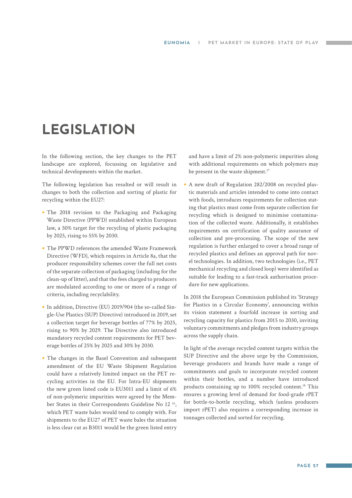### <span id="page-26-0"></span>**LEGISLATION**

In the following section, the key changes to the PET landscape are explored, focussing on legislative and technical developments within the market.

The following legislation has resulted or will result in changes to both the collection and sorting of plastic for recycling within the EU27:

- **•** The 2018 revision to the Packaging and Packaging Waste Directive (PPWD) established within European law, a 50% target for the recycling of plastic packaging by 2025, rising to 55% by 2030.
- **•** The PPWD references the amended Waste Framework Directive (WFD), which requires in Article 8a, that the producer responsibility schemes cover the full net costs of the separate collection of packaging (including for the clean-up of litter), and that the fees charged to producers are modulated according to one or more of a range of criteria, including recyclability.
- **•** In addition, Directive (EU) 2019/904 (the so-called Single-Use Plastics (SUP) Directive) introduced in 2019, set a collection target for beverage bottles of 77% by 2025, rising to 90% by 2029. The Directive also introduced mandatory recycled content requirements for PET beverage bottles of 25% by 2025 and 30% by 2030.
- **•** The changes in the Basel Convention and subsequent amendment of the EU Waste Shipment Regulation could have a relatively limited impact on the PET recycling activities in the EU. For Intra-EU shipments the new green listed code is EU3011 and a limit of 6% of non-polymeric impurities were agreed by the Member States in their Correspondents Guideline No 12 16, which PET waste bales would tend to comply with. For shipments to the EU27 of PET waste bales the situation is less clear cut as B3011 would be the green listed entry

and have a limit of 2% non-polymeric impurities along with additional requirements on which polymers may be present in the waste shipment.<sup>17</sup>

**•** A new draft of Regulation 282/2008 on recycled plastic materials and articles intended to come into contact with foods, introduces requirements for collection stating that plastics must come from separate collection for recycling which is designed to minimise contamination of the collected waste. Additionally, it establishes requirements on certification of quality assurance of collection and pre-processing. The scope of the new regulation is further enlarged to cover a broad range of recycled plastics and defines an approval path for novel technologies. In addition, two technologies (i.e., PET mechanical recycling and closed loop) were identified as suitable for leading to a fast-track authorisation procedure for new applications.

In 2018 the European Commission published its 'Strategy for Plastics in a Circular Economy', announcing within its vision statement a fourfold increase in sorting and recycling capacity for plastics from 2015 to 2030, inviting voluntary commitments and pledges from industry groups across the supply chain.

In light of the average recycled content targets within the SUP Directive and the above urge by the Commission, beverage producers and brands have made a range of commitments and goals to incorporate recycled content within their bottles, and a number have introduced products containing up to 100% recycled content.18 This ensures a growing level of demand for food-grade rPET for bottle-to-bottle recycling, which (unless producers import rPET) also requires a corresponding increase in tonnages collected and sorted for recycling.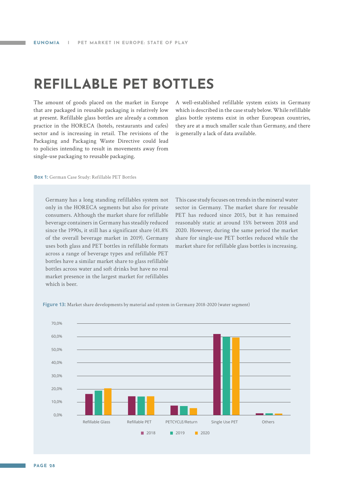### <span id="page-27-0"></span>**REFILLABLE PET BOTTLES**

The amount of goods placed on the market in Europe that are packaged in reusable packaging is relatively low at present. Refillable glass bottles are already a common practice in the HORECA (hotels, restaurants and cafes) sector and is increasing in retail. The revisions of the Packaging and Packaging Waste Directive could lead to policies intending to result in movements away from single-use packaging to reusable packaging.

A well-established refillable system exists in Germany which is described in the case study below. While refillable glass bottle systems exist in other European countries, they are at a much smaller scale than Germany, and there is generally a lack of data available.

**Box 1:** German Case Study: Refillable PET Bottles

Germany has a long standing refillables system not only in the HORECA segments but also for private consumers. Although the market share for refillable beverage containers in Germany has steadily reduced since the 1990s, it still has a significant share (41.8% of the overall beverage market in 2019). Germany uses both glass and PET bottles in refillable formats across a range of beverage types and refillable PET bottles have a similar market share to glass refillable bottles across water and soft drinks but have no real market presence in the largest market for refillables which is beer.

This case study focuses on trends in the mineral water sector in Germany. The market share for reusable PET has reduced since 2015, but it has remained reasonably static at around 15% between 2018 and 2020. However, during the same period the market share for single-use PET bottles reduced while the market share for refillable glass bottles is increasing.



**Figure 13:** Market share developments by material and system in Germany 2018-2020 (water segment)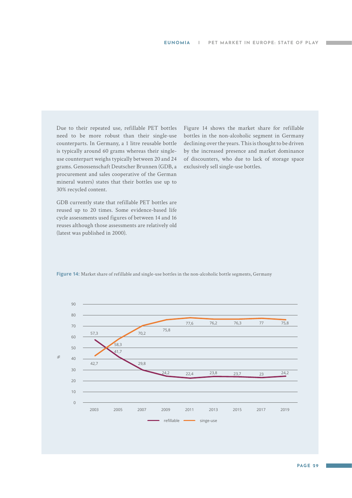Due to their repeated use, refillable PET bottles need to be more robust than their single-use counterparts. In Germany, a 1 litre reusable bottle is typically around 60 grams whereas their singleuse counterpart weighs typically between 20 and 24 grams. Genossenschaft Deutscher Brunnen (GDB, a procurement and sales cooperative of the German mineral waters) states that their bottles use up to 30% recycled content.

GDB currently state that refillable PET bottles are reused up to 20 times. Some evidence-based life cycle assessments used figures of between 14 and 16 reuses although those assessments are relatively old (latest was published in 2000).

Figure 14 shows the market share for refillable bottles in the non-alcoholic segment in Germany declining over the years. This is thought to be driven by the increased presence and market dominance of discounters, who due to lack of storage space exclusively sell single-use bottles.

**Figure 14:** Market share of refillable and single-use bottles in the non-alcoholic bottle segments, Germany

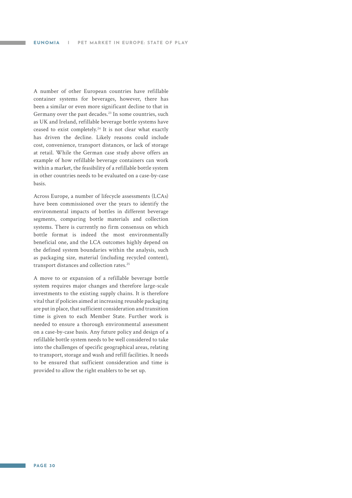A number of other European countries have refillable container systems for beverages, however, there has been a similar or even more significant decline to that in Germany over the past decades.<sup>23</sup> In some countries, such as UK and Ireland, refillable beverage bottle systems have ceased to exist completely.<sup>24</sup> It is not clear what exactly has driven the decline. Likely reasons could include cost, convenience, transport distances, or lack of storage at retail. While the German case study above offers an example of how refillable beverage containers can work within a market, the feasibility of a refillable bottle system in other countries needs to be evaluated on a case-by-case basis.

Across Europe, a number of lifecycle assessments (LCAs) have been commissioned over the years to identify the environmental impacts of bottles in different beverage segments, comparing bottle materials and collection systems. There is currently no firm consensus on which bottle format is indeed the most environmentally beneficial one, and the LCA outcomes highly depend on the defined system boundaries within the analysis, such as packaging size, material (including recycled content), transport distances and collection rates.25

A move to or expansion of a refillable beverage bottle system requires major changes and therefore large-scale investments to the existing supply chains. It is therefore vital that if policies aimed at increasing reusable packaging are put in place, that sufficient consideration and transition time is given to each Member State. Further work is needed to ensure a thorough environmental assessment on a case-by-case basis. Any future policy and design of a refillable bottle system needs to be well considered to take into the challenges of specific geographical areas, relating to transport, storage and wash and refill facilities. It needs to be ensured that sufficient consideration and time is provided to allow the right enablers to be set up.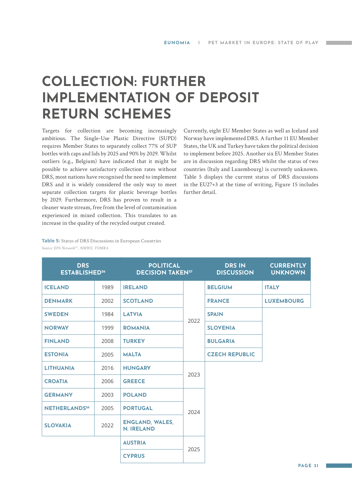### <span id="page-30-0"></span>**COLLECTION: FURTHER IMPLEMENTATION OF DEPOSIT RETURN SCHEMES**

Targets for collection are becoming increasingly ambitious. The Single-Use Plastic Directive (SUPD) requires Member States to separately collect 77% of SUP bottles with caps and lids by 2025 and 90% by 2029. Whilst outliers (e.g., Belgium) have indicated that it might be possible to achieve satisfactory collection rates without DRS, most nations have recognised the need to implement DRS and it is widely considered the only way to meet separate collection targets for plastic beverage bottles by 2029. Furthermore, DRS has proven to result in a cleaner waste stream, free from the level of contamination experienced in mixed collection. This translates to an increase in the quality of the recycled output created.

Currently, eight EU Member States as well as Iceland and Norway have implemented DRS. A further 11 EU Member States, the UK and Turkey have taken the political decision to implement before 2025. Another six EU Member States are in discussion regarding DRS whilst the status of two countries (Italy and Luxembourg) is currently unknown. Table 5 displays the current status of DRS discussions in the EU27+3 at the time of writing, Figure 15 includes further detail.

**Table 5:** Status of DRS Discussions in European Countries *Source: EPA Network29 , NMWE, TOMRA*

| <b>POLITICAL</b><br><b>DRS</b><br><b>ESTABLISHED<sup>26</sup></b><br><b>DECISION TAKEN27</b> |      |                                             | <b>DRS IN</b><br><b>DISCUSSION</b> | <b>CURRENTLY</b><br><b>UNKNOWN</b> |                   |
|----------------------------------------------------------------------------------------------|------|---------------------------------------------|------------------------------------|------------------------------------|-------------------|
| <b>ICELAND</b>                                                                               | 1989 | <b>IRELAND</b>                              |                                    | <b>BELGIUM</b>                     | <b>ITALY</b>      |
| <b>DENMARK</b>                                                                               | 2002 | <b>SCOTLAND</b>                             |                                    | <b>FRANCE</b>                      | <b>LUXEMBOURG</b> |
| <b>SWEDEN</b>                                                                                | 1984 | <b>LATVIA</b>                               | 2022                               | <b>SPAIN</b>                       |                   |
| <b>NORWAY</b>                                                                                | 1999 | <b>ROMANIA</b>                              |                                    | <b>SLOVENIA</b>                    |                   |
| <b>FINLAND</b>                                                                               | 2008 | <b>TURKEY</b>                               |                                    | <b>BULGARIA</b>                    |                   |
| <b>ESTONIA</b>                                                                               | 2005 | <b>MALTA</b>                                |                                    | <b>CZECH REPUBLIC</b>              |                   |
| <b>LITHUANIA</b>                                                                             | 2016 | <b>HUNGARY</b>                              |                                    |                                    |                   |
| <b>CROATIA</b>                                                                               | 2006 | <b>GREECE</b>                               | 2023                               |                                    |                   |
| <b>GERMANY</b>                                                                               | 2003 | <b>POLAND</b>                               |                                    |                                    |                   |
| <b>NETHERLANDS28</b>                                                                         | 2005 | <b>PORTUGAL</b>                             | 2024                               |                                    |                   |
| <b>SLOVAKIA</b>                                                                              | 2022 | <b>ENGLAND, WALES,</b><br><b>N. IRELAND</b> |                                    |                                    |                   |
|                                                                                              |      | <b>AUSTRIA</b>                              |                                    |                                    |                   |
|                                                                                              |      | <b>CYPRUS</b>                               | 2025                               |                                    |                   |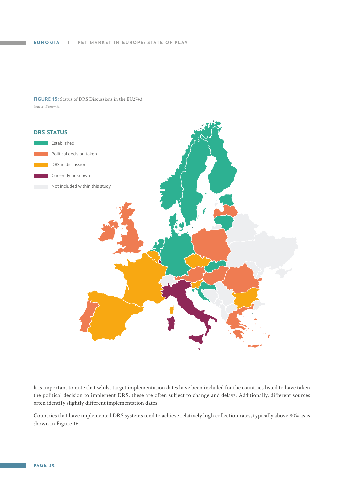#### **FIGURE 15:** Status of DRS Discussions in the EU27+3 *Source: Eunomia*



It is important to note that whilst target implementation dates have been included for the countries listed to have taken the political decision to implement DRS, these are often subject to change and delays. Additionally, different sources often identify slightly different implementation dates.

Countries that have implemented DRS systems tend to achieve relatively high collection rates, typically above 80% as is shown in Figure 16.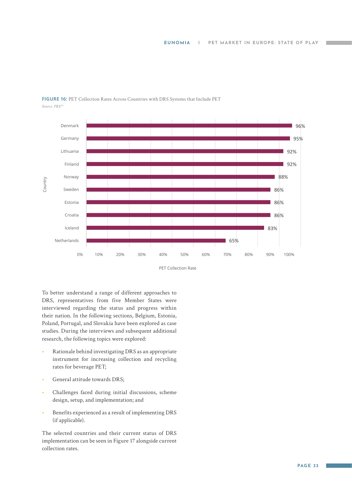

#### **FIGURE 16:** PET Collection Rates Across Countries with DRS Systems that Include PET *Source: PRE30*

PET Collection Rate

To better understand a range of different approaches to DRS, representatives from five Member States were interviewed regarding the status and progress within their nation. In the following sections, Belgium, Estonia, Poland, Portugal, and Slovakia have been explored as case studies. During the interviews and subsequent additional research, the following topics were explored:

- Rationale behind investigating DRS as an appropriate instrument for increasing collection and recycling rates for beverage PET;
- General attitude towards DRS;
- Challenges faced during initial discussions, scheme design, setup, and implementation; and
- Benefits experienced as a result of implementing DRS (if applicable).

The selected countries and their current status of DRS implementation can be seen in Figure 17 alongside current collection rates.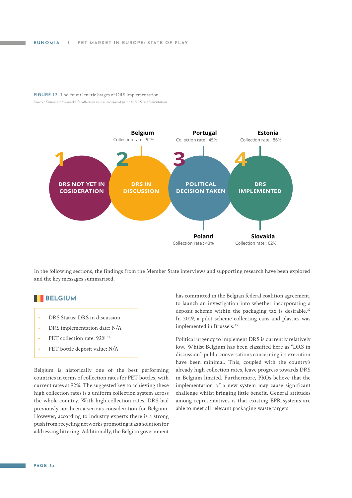#### **FIGURE 17:** The Four Generic Stages of DRS Implementation *Source: Eunomia; \* Slovakia's collection rate is measured prior to DRS implementation*



In the following sections, the findings from the Member State interviews and supporting research have been explored and the key messages summarised.

#### **BELGIUM**

- DRS Status: DRS in discussion
- DRS implementation date: N/A
- PET collection rate: 92% 31
- PET bottle deposit value: N/A

Belgium is historically one of the best performing countries in terms of collection rates for PET bottles, with current rates at 92%. The suggested key to achieving these high collection rates is a uniform collection system across the whole country. With high collection rates, DRS had previously not been a serious consideration for Belgium. However, according to industry experts there is a strong push from recycling networks promoting it as a solution for addressing littering. Additionally, the Belgian government

has committed in the Belgian federal coalition agreement, to launch an investigation into whether incorporating a deposit scheme within the packaging tax is desirable.<sup>32</sup> In 2019, a pilot scheme collecting cans and plastics was implemented in Brussels.<sup>33</sup>

Political urgency to implement DRS is currently relatively low. Whilst Belgium has been classified here as "DRS in discussion", public conversations concerning its execution have been minimal. This, coupled with the country's already high collection rates, leave progress towards DRS in Belgium limited. Furthermore, PROs believe that the implementation of a new system may cause significant challenge whilst bringing little benefit. General attitudes among representatives is that existing EPR systems are able to meet all relevant packaging waste targets.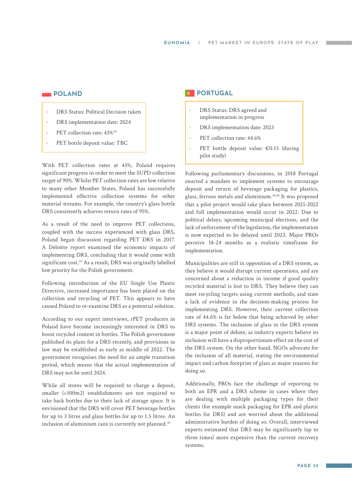#### **POLAND**

- DRS Status: Political Decision taken
- DRS implementation date: 2024
- PET collection rate:  $43\%^{34}$
- PET bottle deposit value: TBC

With PET collection rates at 43%, Poland requires significant progress in order to meet the SUPD collection target of 90%. Whilst PET collection rates are low relative to many other Member States, Poland has successfully implemented effective collection systems for other material streams. For example, the country's glass bottle DRS consistently achieves return rates of 95%.

As a result of the need to improve PET collections, coupled with the success experienced with glass DRS, Poland began discussion regarding PET DRS in 2017. A Deloitte report examined the economic impacts of implementing DRS, concluding that it would come with significant cost.<sup>35</sup> As a result, DRS was originally labelled low priority for the Polish government.

Following introduction of the EU Single Use Plastic Directive, increased importance has been placed on the collection and recycling of PET. This appears to have caused Poland to re-examine DRS as a potential solution.

According to our expert interviews, rPET producers in Poland have become increasingly interested in DRS to boost recycled content in bottles. The Polish government published its plans for a DRS recently, and provisions in law may be established as early as middle of 2022. The government recognises the need for an ample transition period, which means that the actual implementation of DRS may not be until 2024.

While all stores will be required to charge a deposit, smaller (<100m2) establishments are not required to take back bottles due to their lack of storage space. It is envisioned that the DRS will cover PET beverage bottles for up to 3 litres and glass bottles for up to 1.5 litres. An inclusion of aluminium cans is currently not planned.<sup>36</sup>

#### *<b>B* PORTUGAL

- DRS Status: DRS agreed and implementation in progress
- DRS implementation date: 2023
- PET collection rate: 44.6%
- PET bottle deposit value: €0.15 (during pilot study)

Following parliamentary discussions, in 2018 Portugal enacted a mandate to implement systems to encourage deposit and return of beverage packaging for plastics, glass, ferrous metals and aluminium.39,40 It was proposed that a pilot project would take place between 2021-2022 and full implementation would occur in 2022. Due to political delays, upcoming municipal elections, and the lack of enforcement of the legislation, the implementation is now expected to be delayed until 2023. Major PROs perceive 18-24 months as a realistic timeframe for implementation.

Municipalities are still in opposition of a DRS system, as they believe it would disrupt current operations, and are concerned about a reduction in income if good quality recycled material is lost to DRS. They believe they can meet recycling targets using current methods, and state a lack of evidence in the decision-making process for implementing DRS. However, their current collection rate of 44.6% is far below that being achieved by other DRS systems. The inclusion of glass in the DRS system is a major point of debate, as industry experts believe its inclusion will have a disproportionate effect on the cost of the DRS system. On the other hand, NGOs advocate for the inclusion of all material, stating the environmental impact and carbon footprint of glass as major reasons for doing so.

Additionally, PROs face the challenge of reporting to both an EPR and a DRS scheme in cases where they are dealing with multiple packaging types for their clients (for example snack packaging for EPR and plastic bottles for DRS) and are worried about the additional administrative burden of doing so. Overall, interviewed experts estimated that DRS may be significantly (up to three times) more expensive than the current recovery systems.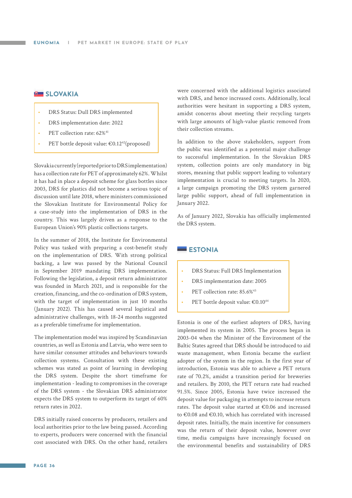#### **B** SLOVAKIA

- DRS Status: Dull DRS implemented
- DRS implementation date: 2022
- PET collection rate: 62%<sup>41</sup>
- PET bottle deposit value:  $\epsilon$ 0.12<sup>42</sup>(proposed)

Slovakia currently (reported prior to DRS implementation) has a collection rate for PET of approximately 62%. Whilst it has had in place a deposit scheme for glass bottles since 2003, DRS for plastics did not become a serious topic of discussion until late 2018, where ministers commissioned the Slovakian Institute for Environmental Policy for a case-study into the implementation of DRS in the country. This was largely driven as a response to the European Union's 90% plastic collections targets.

In the summer of 2018, the Institute for Environmental Policy was tasked with preparing a cost-benefit study on the implementation of DRS. With strong political backing, a law was passed by the National Council in September 2019 mandating DRS implementation. Following the legislation, a deposit return administrator was founded in March 2021, and is responsible for the creation, financing, and the co-ordination of DRS system, with the target of implementation in just 10 months (January 2022). This has caused several logistical and administrative challenges, with 18-24 months suggested as a preferable timeframe for implementation.

The implementation model was inspired by Scandinavian countries, as well as Estonia and Latvia, who were seen to have similar consumer attitudes and behaviours towards collection systems. Consultation with these existing schemes was stated as point of learning in developing the DRS system. Despite the short timeframe for implementation - leading to compromises in the coverage of the DRS system - the Slovakian DRS administrator expects the DRS system to outperform its target of 60% return rates in 2022.

DRS initially raised concerns by producers, retailers and local authorities prior to the law being passed. According to experts, producers were concerned with the financial cost associated with DRS. On the other hand, retailers

were concerned with the additional logistics associated with DRS, and hence increased costs. Additionally, local authorities were hesitant in supporting a DRS system, amidst concerns about meeting their recycling targets with large amounts of high-value plastic removed from their collection streams.

In addition to the above stakeholders, support from the public was identified as a potential major challenge to successful implementation. In the Slovakian DRS system, collection points are only mandatory in big stores, meaning that public support leading to voluntary implementation is crucial to meeting targets. In 2020, a large campaign promoting the DRS system garnered large public support, ahead of full implementation in January 2022.

As of January 2022, Slovakia has officially implemented the DRS system.

#### **ESTONIA**

- DRS Status: Full DRS Implementation
- DRS implementation date: 2005
- PET collection rate: 85.6%<sup>43</sup>
- PET bottle deposit value: €0.10<sup>44</sup>

Estonia is one of the earliest adopters of DRS, having implemented its system in 2005. The process began in 2003-04 when the Minister of the Environment of the Baltic States agreed that DRS should be introduced to aid waste management, when Estonia became the earliest adopter of the system in the region. In the first year of introduction, Estonia was able to achieve a PET return rate of 70.2%, amidst a transition period for breweries and retailers. By 2010, the PET return rate had reached 91.5%. Since 2005, Estonia have twice increased the deposit value for packaging in attempts to increase return rates. The deposit value started at €0.06 and increased to €0.08 and €0.10, which has correlated with increased deposit rates. Initially, the main incentive for consumers was the return of their deposit value, however over time, media campaigns have increasingly focused on the environmental benefits and sustainability of DRS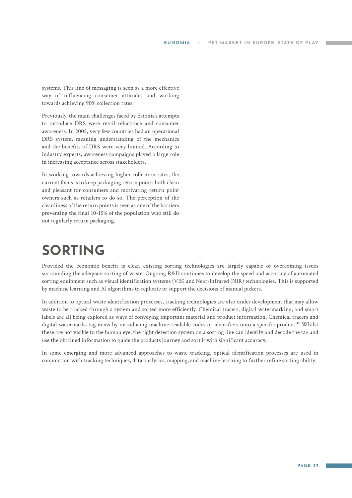<span id="page-36-0"></span>systems. This line of messaging is seen as a more effective way of influencing consumer attitudes and working towards achieving 90% collection rates.

Previously, the main challenges faced by Estonia's attempts to introduce DRS were retail reluctance and consumer awareness. In 2005, very few countries had an operational DRS system, meaning understanding of the mechanics and the benefits of DRS were very limited. According to industry experts, awareness campaigns played a large role in increasing acceptance across stakeholders.

In working towards achieving higher collection rates, the current focus is to keep packaging return points both clean and pleasant for consumers and motivating return point owners such as retailers to do so. The perception of the cleanliness of the return points is seen as one of the barriers preventing the final 10-15% of the population who still do not regularly return packaging.

## **SORTING**

Provided the economic benefit is clear, existing sorting technologies are largely capable of overcoming issues surrounding the adequate sorting of waste. Ongoing R&D continues to develop the speed and accuracy of automated sorting equipment such as visual identification systems (VIS) and Near-Infrared (NIR) technologies. This is supported by machine learning and AI algorithms to replicate or support the decisions of manual pickers.

In addition to optical waste identification processes, tracking technologies are also under development that may allow waste to be tracked through a system and sorted more efficiently. Chemical tracers, digital watermarking, and smart labels are all being explored as ways of conveying important material and product information. Chemical tracers and digital watermarks tag items by introducing machine-readable codes or identifiers onto a specific product.<sup>45</sup> Whilst these are not visible to the human eye, the right detection system on a sorting line can identify and decode the tag and use the obtained information to guide the products journey and sort it with significant accuracy.

In some emerging and more advanced approaches to waste tracking, optical identification processes are used in conjunction with tracking techniques, data analytics, mapping, and machine learning to further refine sorting ability.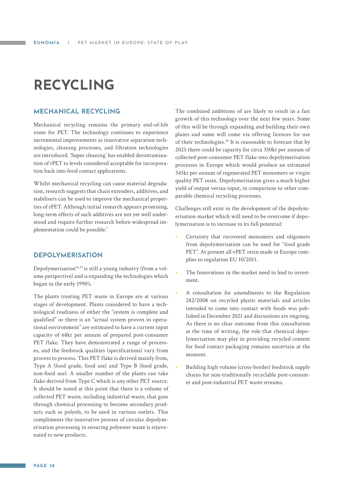## <span id="page-37-0"></span>**RECYCLING**

#### **MECHANICAL RECYCLING**

Mechanical recycling remains the primary end-of-life route for PET. The technology continues to experience incremental improvements as innovative separation technologies, cleaning processes, and filtration technologies are introduced. 'Super cleaning' has enabled decontamination of rPET to levels considered acceptable for incorporation back into food contact applications.

Whilst mechanical recycling can cause material degradation, research suggests that chain extenders, additives, and stabilisers can be used to improve the mechanical properties of rPET. Although initial research appears promising, long-term effects of such additives are not yet well understood and require further research before widespread implementation could be possible.7

#### **DEPOLYMERISATION**

Depolymerisation<sup>46,47</sup> is still a young industry (from a volume perspective) and is expanding the technologies which began in the early 1990's.

The plants treating PET waste in Europe are at various stages of development. Plants considered to have a technological readiness of either the "system is complete and qualified" or there is an "actual system proven in operational environment" are estimated to have a current input capacity of 68kt per annum of prepared post-consumer PET flake. They have demonstrated a range of processes, and the feedstock qualities (specifications) vary from process to process. This PET flake is derived mainly from, Type A (food grade, food use) and Type B (food grade, non-food use). A smaller number of the plants can take flake derived from Type C which is any other PET source. It should be noted at this point that there is a volume of collected PET waste, including industrial waste, that goes through chemical processing to become secondary products such as polyols, to be used in various outlets. This compliments the innovative process of circular depolymerisation processing in ensuring polyester waste is rejuvenated to new products.

The combined ambitions of are likely to result in a fast growth of this technology over the next few years. Some of this will be through expanding and building their own plants and some will come via offering licences for use of their technologies.48 It is reasonable to forecast that by 2025 there could be capacity for circa 350kt per annum of collected post-consumer PET flake into depolymerisation processes in Europe which would produce an estimated 345kt per annum of regenerated PET monomers or virgin quality PET resin. Depolymerisation gives a much higher yield of output versus input, in comparison to other comparable chemical recycling processes.

Challenges still exist in the development of the depolymerisation market which will need to be overcome if depolymerisation is to increase to its full potential:

- Certainty that recovered monomers and oligomers from depolymerisation can be used for "food grade PET". At present all vPET resin made in Europe complies to regulation EU 10/2011.
- The Innovations in the market need to lead to investment.
- A consultation for amendments to the Regulation 282/2008 on recycled plastic materials and articles intended to come into contact with foods was published in December 2021 and discussions are ongoing. As there is no clear outcome from this consultation at the time of writing, the role that chemical depolymerisation may play in providing recycled content for food contact packaging remains uncertain at the moment.
- Building high volume (cross-border) feedstock supply chains for non-traditionally recyclable post-consumer and post-industrial PET waste streams.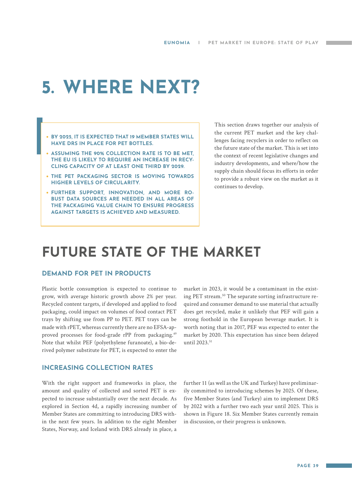## <span id="page-38-0"></span>**5. WHERE NEXT?**

- **• BY 2025, IT IS EXPECTED THAT 19 MEMBER STATES WILL HAVE DRS IN PLACE FOR PET BOTTLES.**
- **• ASSUMING THE 90% COLLECTION RATE IS TO BE MET, THE EU IS LIKELY TO REQUIRE AN INCREASE IN RECY-CLING CAPACITY OF AT LEAST ONE THIRD BY 2029.**
- **• THE PET PACKAGING SECTOR IS MOVING TOWARDS HIGHER LEVELS OF CIRCULARITY.**
- **• FURTHER SUPPORT, INNOVATION, AND MORE RO-BUST DATA SOURCES ARE NEEDED IN ALL AREAS OF THE PACKAGING VALUE CHAIN TO ENSURE PROGRESS AGAINST TARGETS IS ACHIEVED AND MEASURED.**

This section draws together our analysis of the current PET market and the key challenges facing recyclers in order to reflect on the future state of the market. This is set into the context of recent legislative changes and industry developments, and where/how the supply chain should focus its efforts in order to provide a robust view on the market as it continues to develop.

### **FUTURE STATE OF THE MARKET**

#### **DEMAND FOR PET IN PRODUCTS**

Plastic bottle consumption is expected to continue to grow, with average historic growth above 2% per year. Recycled content targets, if developed and applied to food packaging, could impact on volumes of food contact PET trays by shifting use from PP to PET. PET trays can be made with rPET, whereas currently there are no EFSA-approved processes for food-grade rPP from packaging.49 Note that whilst PEF (polyethylene furanoate), a bio-derived polymer substitute for PET, is expected to enter the market in 2023, it would be a contaminant in the existing PET stream.<sup>50</sup> The separate sorting infrastructure required and consumer demand to use material that actually does get recycled, make it unlikely that PEF will gain a strong foothold in the European beverage market. It is worth noting that in 2017, PEF was expected to enter the market by 2020. This expectation has since been delayed until 2023.<sup>51</sup>

#### **INCREASING COLLECTION RATES**

With the right support and frameworks in place, the amount and quality of collected and sorted PET is expected to increase substantially over the next decade. As explored in Section 4d, a rapidly increasing number of Member States are committing to introducing DRS within the next few years. In addition to the eight Member States, Norway, and Iceland with DRS already in place, a

further 11 (as well as the UK and Turkey) have preliminarily committed to introducing schemes by 2025. Of these, five Member States (and Turkey) aim to implement DRS by 2022 with a further two each year until 2025. This is shown in Figure 18. Six Member States currently remain in discussion, or their progress is unknown.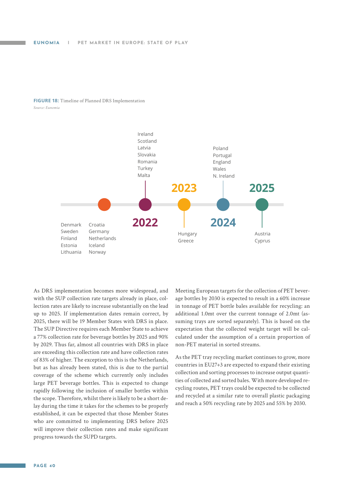#### **FIGURE 18:** Timeline of Planned DRS Implementation *Source: Eunomia*



As DRS implementation becomes more widespread, and with the SUP collection rate targets already in place, collection rates are likely to increase substantially on the lead up to 2025. If implementation dates remain correct, by 2025, there will be 19 Member States with DRS in place. The SUP Directive requires each Member State to achieve a 77% collection rate for beverage bottles by 2025 and 90% by 2029. Thus far, almost all countries with DRS in place are exceeding this collection rate and have collection rates of 83% of higher. The exception to this is the Netherlands, but as has already been stated, this is due to the partial coverage of the scheme which currently only includes large PET beverage bottles. This is expected to change rapidly following the inclusion of smaller bottles within the scope. Therefore, whilst there is likely to be a short delay during the time it takes for the schemes to be properly established, it can be expected that those Member States who are committed to implementing DRS before 2025 will improve their collection rates and make significant progress towards the SUPD targets.

Meeting European targets for the collection of PET beverage bottles by 2030 is expected to result in a 60% increase in tonnage of PET bottle bales available for recycling: an additional 1.0mt over the current tonnage of 2.0mt (assuming trays are sorted separately). This is based on the expectation that the collected weight target will be calculated under the assumption of a certain proportion of non-PET material in sorted streams.

As the PET tray recycling market continues to grow, more countries in EU27+3 are expected to expand their existing collection and sorting processes to increase output quantities of collected and sorted bales. With more developed recycling routes, PET trays could be expected to be collected and recycled at a similar rate to overall plastic packaging and reach a 50% recycling rate by 2025 and 55% by 2030.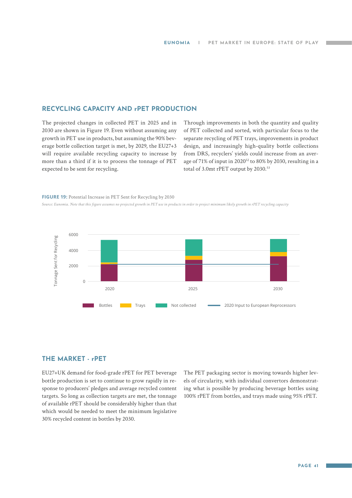#### **RECYCLING CAPACITY AND rPET PRODUCTION**

The projected changes in collected PET in 2025 and in 2030 are shown in Figure 19. Even without assuming any growth in PET use in products, but assuming the 90% beverage bottle collection target is met, by 2029, the EU27+3 will require available recycling capacity to increase by more than a third if it is to process the tonnage of PET expected to be sent for recycling.

Through improvements in both the quantity and quality of PET collected and sorted, with particular focus to the separate recycling of PET trays, improvements in product design, and increasingly high-quality bottle collections from DRS, recyclers' yields could increase from an average of 71% of input in 202052 to 80% by 2030, resulting in a total of 3.0mt rPET output by 2030.<sup>53</sup>

#### **FIGURE 19:** Potential Increase in PET Sent for Recycling by 2030

*Source: Eunomia. Note that this figure assumes no projected growth in PET use in products in order to project minimum likely growth in rPET recycling capacity*



#### **THE MARKET - rPET**

EU27+UK demand for food-grade rPET for PET beverage bottle production is set to continue to grow rapidly in response to producers' pledges and average recycled content targets. So long as collection targets are met, the tonnage of available rPET should be considerably higher than that which would be needed to meet the minimum legislative 30% recycled content in bottles by 2030.

The PET packaging sector is moving towards higher levels of circularity, with individual convertors demonstrating what is possible by producing beverage bottles using 100% rPET from bottles, and trays made using 95% rPET.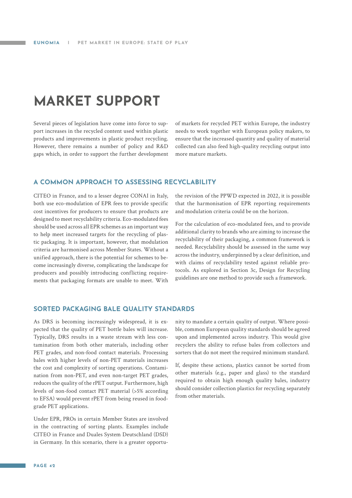### <span id="page-41-0"></span>**MARKET SUPPORT**

Several pieces of legislation have come into force to support increases in the recycled content used within plastic products and improvements in plastic product recycling. However, there remains a number of policy and R&D gaps which, in order to support the further development of markets for recycled PET within Europe, the industry needs to work together with European policy makers, to ensure that the increased quantity and quality of material collected can also feed high-quality recycling output into more mature markets.

#### **A COMMON APPROACH TO ASSESSING RECYCLABILITY**

CITEO in France, and to a lesser degree CONAI in Italy, both use eco-modulation of EPR fees to provide specific cost incentives for producers to ensure that products are designed to meet recyclability criteria. Eco-modulated fees should be used across all EPR schemes as an important way to help meet increased targets for the recycling of plastic packaging. It is important, however, that modulation criteria are harmonised across Member States. Without a unified approach, there is the potential for schemes to become increasingly diverse, complicating the landscape for producers and possibly introducing conflicting requirements that packaging formats are unable to meet. With the revision of the PPWD expected in 2022, it is possible that the harmonisation of EPR reporting requirements and modulation criteria could be on the horizon.

For the calculation of eco-modulated fees, and to provide additional clarity to brands who are aiming to increase the recyclability of their packaging, a common framework is needed. Recyclability should be assessed in the same way across the industry, underpinned by a clear definition, and with claims of recyclability tested against reliable protocols. As explored in Section 3c, Design for Recycling guidelines are one method to provide such a framework.

#### **SORTED PACKAGING BALE QUALITY STANDARDS**

As DRS is becoming increasingly widespread, it is expected that the quality of PET bottle bales will increase. Typically, DRS results in a waste stream with less contamination from both other materials, including other PET grades, and non-food contact materials. Processing bales with higher levels of non-PET materials increases the cost and complexity of sorting operations. Contamination from non-PET, and even non-target PET grades, reduces the quality of the rPET output. Furthermore, high levels of non-food contact PET material (>5% according to EFSA) would prevent rPET from being reused in foodgrade PET applications.

Under EPR, PROs in certain Member States are involved in the contracting of sorting plants. Examples include CITEO in France and Duales System Deutschland (DSD) in Germany. In this scenario, there is a greater opportu-

nity to mandate a certain quality of output. Where possible, common European quality standards should be agreed upon and implemented across industry. This would give recyclers the ability to refuse bales from collectors and sorters that do not meet the required minimum standard.

If, despite these actions, plastics cannot be sorted from other materials (e.g., paper and glass) to the standard required to obtain high enough quality bales, industry should consider collection plastics for recycling separately from other materials.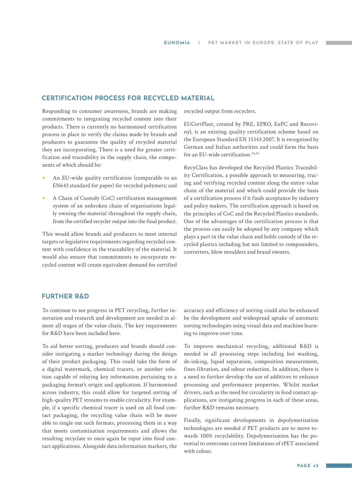#### **CERTIFICATION PROCESS FOR RECYCLED MATERIAL**

Responding to consumer awareness, brands are making commitments to integrating recycled content into their products. There is currently no harmonised certification process in place to verify the claims made by brands and producers to guarantee the quality of recycled material they are incorporating. There is a need for greater certification and traceability in the supply chain, the components of which should be:

- **•** An EU-wide quality certification (comparable to an EN643 standard for paper) for recycled polymers; and
- **•** A Chain of Custody (CoC) certification management system of an unbroken chain of organisations legally owning the material throughout the supply chain, from the certified recycler output into the final product.

This would allow brands and producers to meet internal targets or legislative requirements regarding recycled content with confidence in the traceability of the material. It would also ensure that commitments to incorporate recycled content will create equivalent demand for certified recycled output from recyclers.

EUCertPlast, created by PRE, EPRO, EuPC and Recovinyl, is an existing quality certification scheme based on the European Standard EN 15343:2007. It is recognised by German and Italian authorities and could form the basis for an EU-wide certification.<sup>54,55</sup>

RecyClass has developed the Recycled Plastics Traceability Certification, a possible approach to measuring, tracing and verifying recycled content along the entire value chain of the material and which could provide the basis of a certification process if it finds acceptance by industry and policy makers. The certification approach is based on the principles of CoC and the Recycled Plastics standards. One of the advantages of the certification process is that the process can easily be adopted by any company which plays a part in the value chain and holds custody of the recycled plastics including but not limited to compounders, converters, blow moulders and brand owners.

#### **FURTHER R&D**

To continue to see progress in PET recycling, further innovation and research and development are needed in almost all stages of the value chain. The key requirements for R&D have been included here.

To aid better sorting, producers and brands should consider instigating a marker technology during the design of their product packaging. This could take the form of a digital watermark, chemical tracers, or another solution capable of relaying key information pertaining to a packaging format's origin and application. If harmonised across industry, this could allow for targeted sorting of high-quality PET streams to enable circularity. For example, if a specific chemical tracer is used on all food contact packaging, the recycling value chain will be more able to single out such formats, processing them in a way that meets contamination requirements and allows the resulting recyclate to once again be input into food contact applications. Alongside data information markers, the

accuracy and efficiency of sorting could also be enhanced be the development and widespread uptake of automatic sorting technologies using visual data and machine learning to improve over time.

To improve mechanical recycling, additional R&D is needed in all processing steps including hot washing, de-inking, liquid separation, composition measurement, fines filtration, and odour reduction. In addition, there is a need to further develop the use of additives to enhance processing and performance properties. Whilst market drivers, such as the need for circularity in food contact applications, are instigating progress in each of these areas, further R&D remains necessary.

Finally, significant developments in depolymerisation technologies are needed if PET products are to move towards 100% recyclability. Depolymerisation has the potential to overcome current limitations of rPET associated with colour.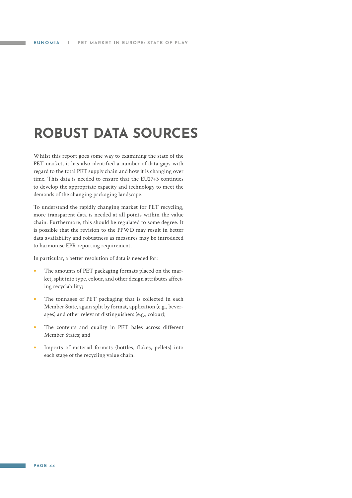## <span id="page-43-0"></span>**ROBUST DATA SOURCES**

Whilst this report goes some way to examining the state of the PET market, it has also identified a number of data gaps with regard to the total PET supply chain and how it is changing over time. This data is needed to ensure that the EU27+3 continues to develop the appropriate capacity and technology to meet the demands of the changing packaging landscape.

To understand the rapidly changing market for PET recycling, more transparent data is needed at all points within the value chain. Furthermore, this should be regulated to some degree. It is possible that the revision to the PPWD may result in better data availability and robustness as measures may be introduced to harmonise EPR reporting requirement.

In particular, a better resolution of data is needed for:

- **•** The amounts of PET packaging formats placed on the market, split into type, colour, and other design attributes affecting recyclability;
- **•** The tonnages of PET packaging that is collected in each Member State, again split by format, application (e.g., beverages) and other relevant distinguishers (e.g., colour);
- **•** The contents and quality in PET bales across different Member States; and
- **•** Imports of material formats (bottles, flakes, pellets) into each stage of the recycling value chain.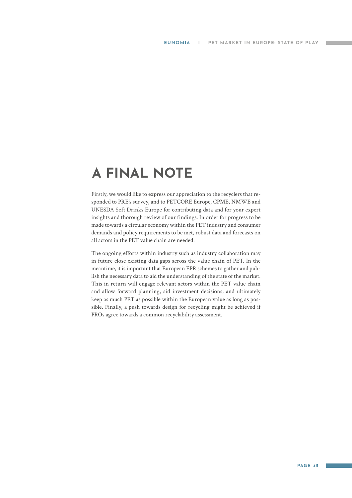### <span id="page-44-0"></span>**A FINAL NOTE**

Firstly, we would like to express our appreciation to the recyclers that responded to PRE's survey, and to PETCORE Europe, CPME, NMWE and UNESDA Soft Drinks Europe for contributing data and for your expert insights and thorough review of our findings. In order for progress to be made towards a circular economy within the PET industry and consumer demands and policy requirements to be met, robust data and forecasts on all actors in the PET value chain are needed.

The ongoing efforts within industry such as industry collaboration may in future close existing data gaps across the value chain of PET. In the meantime, it is important that European EPR schemes to gather and publish the necessary data to aid the understanding of the state of the market. This in return will engage relevant actors within the PET value chain and allow forward planning, aid investment decisions, and ultimately keep as much PET as possible within the European value as long as possible. Finally, a push towards design for recycling might be achieved if PROs agree towards a common recyclability assessment.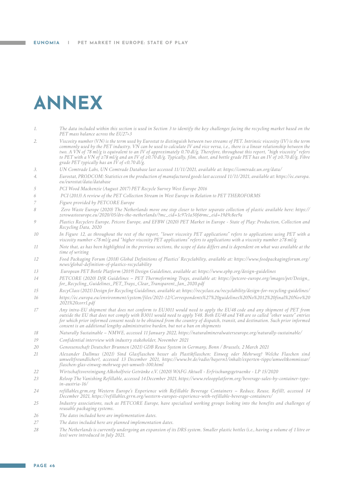# <span id="page-45-0"></span>**ANNEX**

- *1. The data included within this section is used in Section 3 to identify the key challenges facing the recycling market based on the PET mass balance across the EU27+3*
- *2. Viscosity number (VN) is the term used by Eurostat to distinguish between two streams of PET. Intrinsic viscosity (IV) is the term commonly used by the PET industry. VN can be used to calculate IV and vice versa, i.e., there is a linear relationship between the two. A VN of 78 ml/g is equivalent to an IV of approximately 0.70 dl/g. Therefore, throughout this report, "high viscosity" refers to PET with a VN of ≥78 ml/g and an IV of ≥0.70 dl/g. Typically, film, sheet, and bottle grade PET has an IV of ≥0.70 dl/g. Fibre grade PET typically has an IV of <0.70 dl/g.*
- *3. UN Comtrade Labs, UN Comtrade Database last accessed 11/11/2021, available at: https://comtrade.un.org/data/*
- *4. Eurostat, PRODCOM: Statistics on the production of manufactured goods last accessed 11/11/2021, available at: https://ec.europa. eu/eurostat/data/database*
- *5 PCI Wood Mackenzie (August 2017) PET Recycle Survey West Europe 2016*
- *6 PCI (2013) A review of the PET Collection Stream in West Europe in Relation to PET THEROFORMS*
- *7 Figure provided by PETCORE Europe*
- *8 Zero Waste Europe (2020) The Netherlands move one step closer to better separate collection of plastic available here: https:// zerowasteeurope.eu/2020/05/drs-the-netherlands/?mc\_cid=1c97e1a50f&mc\_eid=19d9c8ee9a*
- *9 Plastics Recyclers Europe, Petcore Europe, and EFBW (2020) PET Market in Europe State of Play: Production, Collection and Recycling Data, 2020*
- *10 In Figure 12, as throughout the rest of the report, "lower viscosity PET applications" refers to applications using PET with a viscosity number <78 ml/g and "higher viscosity PET applications" refers to applications with a viscosity number ≥78 ml/g*
- *11 Note that, as has been highlighted in the previous sections, the scope of data differs and is dependent on what was available at the time of writing*
- *12 Food Packaging Forum (2018) Global Definitions of Plastics' Recyclability, available at: https://www.foodpackagingforum.org/ news/global-definition-of-plastics-recyclability*
- *13 European PET Bottle Platform (2019) Design Guidelines, available at: https://www.epbp.org/design-guidelines*
- *14 PETCORE (2020) DfR Guidelines PET Thermoforming Trays, available at: https://petcore-europe.org/images/pet/Design\_ for\_Recycling\_Guidelines\_PET\_Trays\_Clear\_Transparent\_Jan\_2020.pdf*
- *15 RecyClass (2021) Design for Recycling Guidelines, available at: https://recyclass.eu/recyclability/design-for-recycling-guidelines/*
- *16 https://ec.europa.eu/environment/system/files/2021-12/Correspondents%27%20guidelines%20No%2012%20final%20Nov%20 2021%20corr1.pdf*
- *17 Any intra-EU shipment that does not conform to EU3011 would need to apply the EU48 code and any shipment of PET from outside the EU that does not comply with B3011 would need to apply Y48. Both EU48 and Y48 are so called "other waste" entries for which prior informed consent needs to be obtained from the country of dispatch, transit, and destination. Such prior informed consent is an additional lengthy administrative burden, but not a ban on shipments*
- *18 Naturally Sustainable NMWE, accessed 11 January 2022, https://naturalmineralwaterseurope.org/naturally-sustainable/*
- *19 Confidential interview with industry stakeholder, November 2021*
- *20 Genossenschaft Deutscher Brunnen (2021) GDB Reuse System in Germany, Bonn / Brussels, 2 March 2021*
- *21 Alexander Dallmus (2021) Sind Glasflaschen besser als Plastikflaschen: Einweg oder Mehrweg? Welche Flaschen sind umweltfreundlicher?, accessed 13 December 2021, https://www.br.de/radio/bayern1/inhalt/experten-tipps/umweltkommissar/ flaschen-glas-einweg-mehrweg-pet-umwelt-100.html*
- *22 Wirtschaftsvereinigung Alkoholfreie Getränke e.V. (2020) WAFG Aktuell Erfrischungsgetraenke LP 15/2020*
- *23 Reloop The Vanishing Refillable, accessed 14 December 2021, https://www.reloopplatform.org/beverage-sales-by-container-typein-austria-16/*
- *24 refillables.grm.org Western Europe's Experience with Refillable Beverage Containers Reduce, Reuse, Refill!, accessed 14 December 2021, https://refillables.grrn.org/western-europes-experience-with-refillable-beverage-containers/*
- *25 Industry associations, such as PETCORE Europe, have specialised working groups looking into the benefits and challenges of reusable packaging systems.*
- *26 The dates included here are implementation dates.*
- *27 The dates included here are planned implementation dates.*
- *28 The Netherlands is currently undergoing an expansion of its DRS system. Smaller plastic bottles (i.e., having a volume of 1 litre or less) were introduced in July 2021.*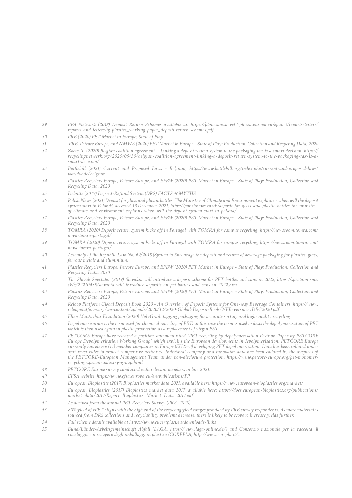- *29 EPA Network (2018) Deposit Return Schemes available at: https://plonesaas.devel4cph.eea.europa.eu/epanet/reports-letters/ reports-and-letters/ig-plastics\_working-paper\_deposit-return-schemes.pdf*
- *30 PRE (2020) PET Market in Europe: State of Play*
- *31 PRE, Petcore Europe, and NMWE (2020) PET Market in Europe State of Play: Production, Collection and Recycling Data, 2020*
- *32 Zoete, T. (2020) Belgian coalition agreement Linking a deposit return system to the packaging tax is a smart decision, https:// recyclingnetwerk.org/2020/09/30/belgian-coalition-agreement-linking-a-deposit-return-system-to-the-packaging-tax-is-asmart-decision/*
- *33 Bottlebill (2021) Current and Proposed Laws Belgium, https://www.bottlebill.org/index.php/current-and-proposed-laws/ worldwide/belgium*
- *34 Plastics Recyclers Europe, Petcore Europe, and EFBW (2020) PET Market in Europe State of Play: Production, Collection and Recycling Data, 2020*
- *35 Deloitte (2019) Deposit-Refund System (DRS) FACTS & MYTHS*
- *36 Polish News (2021) Deposit for glass and plastic bottles. The Ministry of Climate and Environment explains when will the deposit system start in Poland?, accessed 13 December 2021, https://polishnews.co.uk/deposit-for-glass-and-plastic-bottles-the-ministryof-climate-and-environment-explains-when-will-the-deposit-system-start-in-poland/*
- *37 Plastics Recyclers Europe, Petcore Europe, and EFBW (2020) PET Market in Europe State of Play: Production, Collection and Recycling Data, 2020*
- *38 TOMRA (2020) Deposit return system kicks off in Portugal with TOMRA for campus recycling, https://newsroom.tomra.com/ nova-tomra-portugal/*
- *39 TOMRA (2020) Deposit return system kicks off in Portugal with TOMRA for campus recycling, https://newsroom.tomra.com/ nova-tomra-portugal/*
- *40 Assembly of the Republic Law No. 69/2018 (System to Encourage the deposit and return of beverage packaging for plastics, glass, ferrous metals and aluminium)*
- *41 Plastics Recyclers Europe, Petcore Europe, and EFBW (2020) PET Market in Europe State of Play: Production, Collection and Recycling Data, 2020*
- *42 The Slovak Spectator (2019) Slovakia will introduce a deposit scheme for PET bottles and cans in 2022, https://spectator.sme. sk/c/22210435/slovakia-will-introduce-deposits-on-pet-bottles-and-cans-in-2022.htm*
- *43 Plastics Recyclers Europe, Petcore Europe, and EFBW (2020) PET Market in Europe State of Play: Production, Collection and Recycling Data, 2020*
- *44 Reloop Platform Global Deposit Book 2020 An Overview of Deposit Systems for One-way Beverage Containers, https://www. reloopplatform.org/wp-content/uploads/2020/12/2020-Global-Deposit-Book-WEB-version-1DEC2020.pdf*
- *45 Ellen MacArthur Foundation (2020) HolyGrail: tagging packaging for accurate sorting and high-quality recycling*
- *46 Depolymerisation is the term used for chemical recycling of PET; in this case the term is used to describe depolymerisation of PET which is then used again in plastic production as a replacement of virgin PET.*
- *47 PETCORE Europe have released a position statement titled "PET recycling by depolymerisation Position Paper by PETCORE Europe Depolymerisation Working Group" which explains the European developments in depolymerisation. PETCORE Europe currently has eleven (11) member companies in Europe (EU27+3) developing PET depolymerisation. Data has been collated under anti-trust rules to protect competitive activities. Individual company and innovator data has been collated by the auspices of the PETCORE-European Management Team under non-disclosure protection, https://www.petcore-europe.org/pet-monomerrecycling-special-industry-group.html*
- *48 PETCORE Europe survey conducted with relevant members in late 2021.*
- *49 EFSA website, https://www.efsa.europa.eu/en/publications/PP*
- *50 European Bioplastics (2017) Bioplastics market data 2021, available here: https://www.european-bioplastics.org/market/*
- *51 European Bioplastics (2017) Bioplastics market data 2017, available here: https://docs.european-bioplastics.org/publications/ market\_data/2017/Report\_Bioplastics\_Market\_Data\_2017.pdf*
- *52 As derived from the annual PET Recyclers Survey (PRE, 2020)*
- *53 80% yield of rPET aligns with the high end of the recycling yield ranges provided by PRE survey respondents. As more material is sourced from DRS collections and recyclability problems decrease, there is likely to be scope to increase yields further.*
- *54 Full scheme details available at https://www.eucertplast.eu/downloads-links*
- *55 Bund/Länder-Arbeitsgemeinschaft Abfall (LAGA, https://www.laga-online.de/) and Consorzio nazionale per la raccolta, il riciclaggio e il recupero degli imballaggi in plastica (COREPLA, http://www.corepla.it/).*